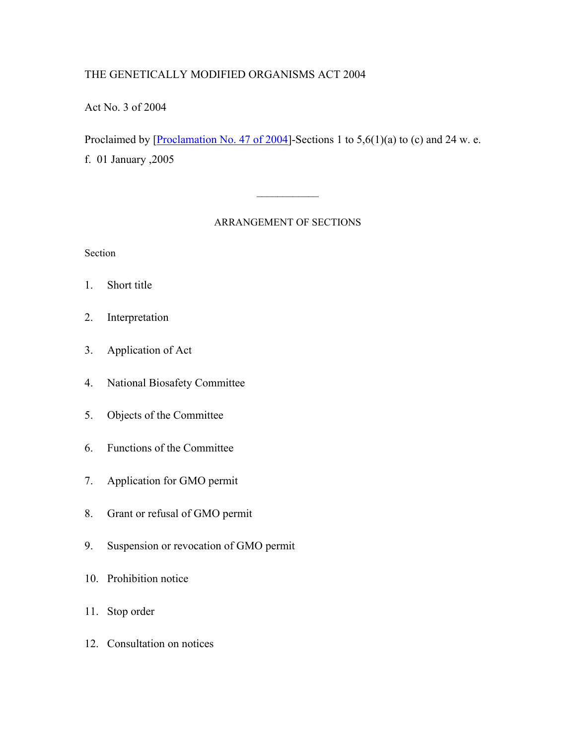# THE GENETICALLY MODIFIED ORGANISMS ACT 2004

Act No. 3 of 2004

Proclaimed by [Proclamation No. 47 of 2004]-Sections 1 to  $5,6(1)(a)$  to (c) and 24 w. e. f. 01 January ,2005

#### ARRANGEMENT OF SECTIONS

 $\mathcal{L}_\text{max}$ 

Section

- 1. Short title
- 2. Interpretation
- 3. Application of Act
- 4. National Biosafety Committee
- 5. Objects of the Committee
- 6. Functions of the Committee
- 7. Application for GMO permit
- 8. Grant or refusal of GMO permit
- 9. Suspension or revocation of GMO permit
- 10. Prohibition notice
- 11. Stop order
- 12. Consultation on notices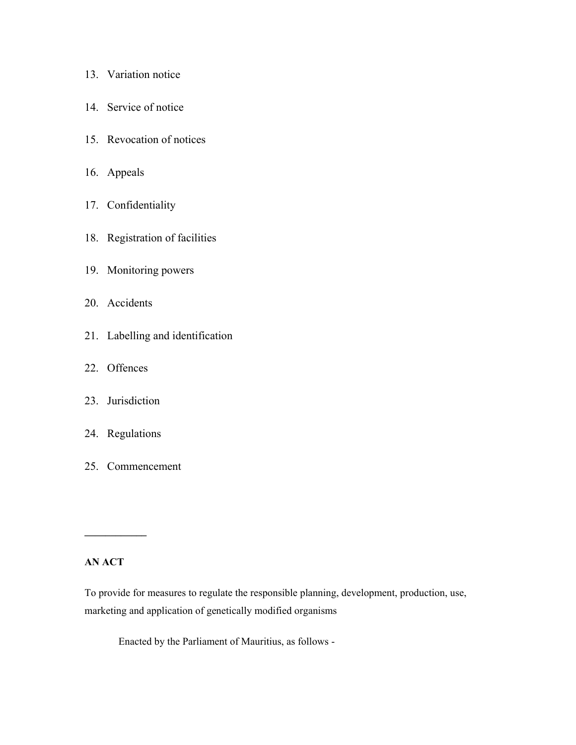| 13. | Variation notice |  |
|-----|------------------|--|
|     |                  |  |

- 14. Service of notice
- 15. Revocation of notices
- 16. Appeals
- 17. Confidentiality
- 18. Registration of facilities
- 19. Monitoring powers
- 20. Accidents
- 21. Labelling and identification
- 22. Offences
- 23. Jurisdiction
- 24. Regulations
- 25. Commencement

#### **AN ACT**

**\_\_\_\_\_\_\_\_\_\_\_\_**

To provide for measures to regulate the responsible planning, development, production, use, marketing and application of genetically modified organisms

Enacted by the Parliament of Mauritius, as follows -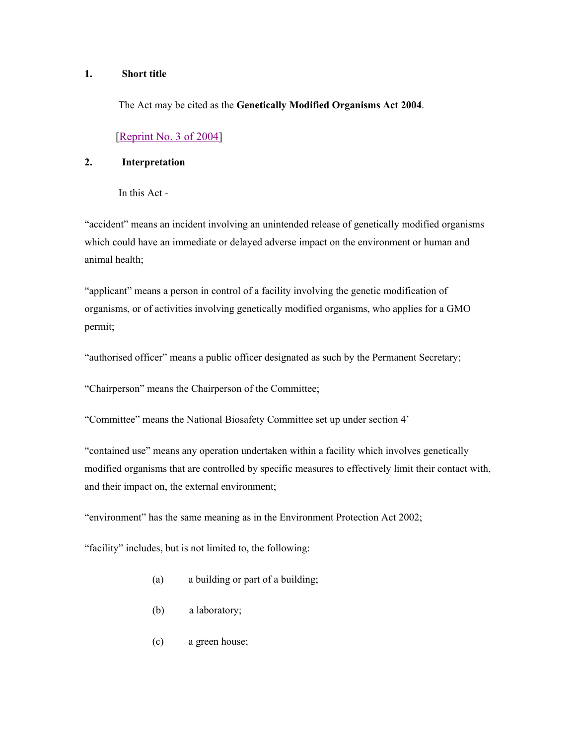#### **1. Short title**

The Act may be cited as the **Genetically Modified Organisms Act 2004**.

#### [Reprint No. 3 of 2004]

#### **2. Interpretation**

In this Act -

"accident" means an incident involving an unintended release of genetically modified organisms which could have an immediate or delayed adverse impact on the environment or human and animal health;

"applicant" means a person in control of a facility involving the genetic modification of organisms, or of activities involving genetically modified organisms, who applies for a GMO permit;

"authorised officer" means a public officer designated as such by the Permanent Secretary;

"Chairperson" means the Chairperson of the Committee;

"Committee" means the National Biosafety Committee set up under section 4'

"contained use" means any operation undertaken within a facility which involves genetically modified organisms that are controlled by specific measures to effectively limit their contact with, and their impact on, the external environment;

"environment" has the same meaning as in the Environment Protection Act 2002;

"facility" includes, but is not limited to, the following:

- (a) a building or part of a building;
- (b) a laboratory;
- (c) a green house;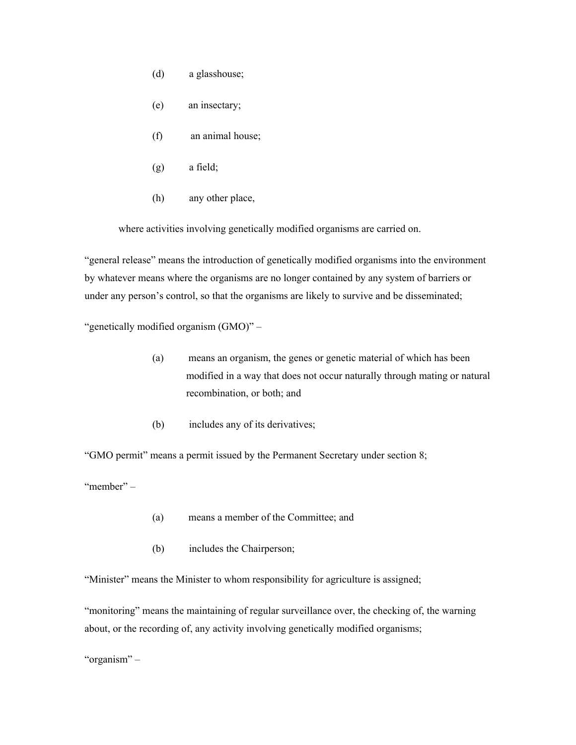- (d) a glasshouse;
- (e) an insectary;
- (f) an animal house;
- (g) a field;
- (h) any other place,

where activities involving genetically modified organisms are carried on.

"general release" means the introduction of genetically modified organisms into the environment by whatever means where the organisms are no longer contained by any system of barriers or under any person's control, so that the organisms are likely to survive and be disseminated;

"genetically modified organism (GMO)" –

- (a) means an organism, the genes or genetic material of which has been modified in a way that does not occur naturally through mating or natural recombination, or both; and
- (b) includes any of its derivatives;

"GMO permit" means a permit issued by the Permanent Secretary under section 8;

"member" –

- (a) means a member of the Committee; and
- (b) includes the Chairperson;

"Minister" means the Minister to whom responsibility for agriculture is assigned;

"monitoring" means the maintaining of regular surveillance over, the checking of, the warning about, or the recording of, any activity involving genetically modified organisms;

"organism" –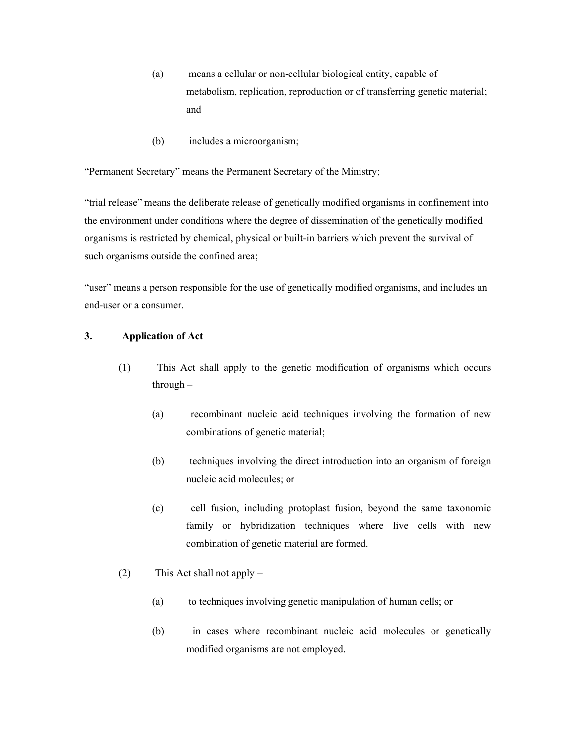- (a) means a cellular or non-cellular biological entity, capable of metabolism, replication, reproduction or of transferring genetic material; and
- (b) includes a microorganism;

"Permanent Secretary" means the Permanent Secretary of the Ministry;

"trial release" means the deliberate release of genetically modified organisms in confinement into the environment under conditions where the degree of dissemination of the genetically modified organisms is restricted by chemical, physical or built-in barriers which prevent the survival of such organisms outside the confined area;

"user" means a person responsible for the use of genetically modified organisms, and includes an end-user or a consumer.

#### **3. Application of Act**

- (1) This Act shall apply to the genetic modification of organisms which occurs through –
	- (a) recombinant nucleic acid techniques involving the formation of new combinations of genetic material;
	- (b) techniques involving the direct introduction into an organism of foreign nucleic acid molecules; or
	- (c) cell fusion, including protoplast fusion, beyond the same taxonomic family or hybridization techniques where live cells with new combination of genetic material are formed.
- (2) This Act shall not apply
	- (a) to techniques involving genetic manipulation of human cells; or
	- (b) in cases where recombinant nucleic acid molecules or genetically modified organisms are not employed.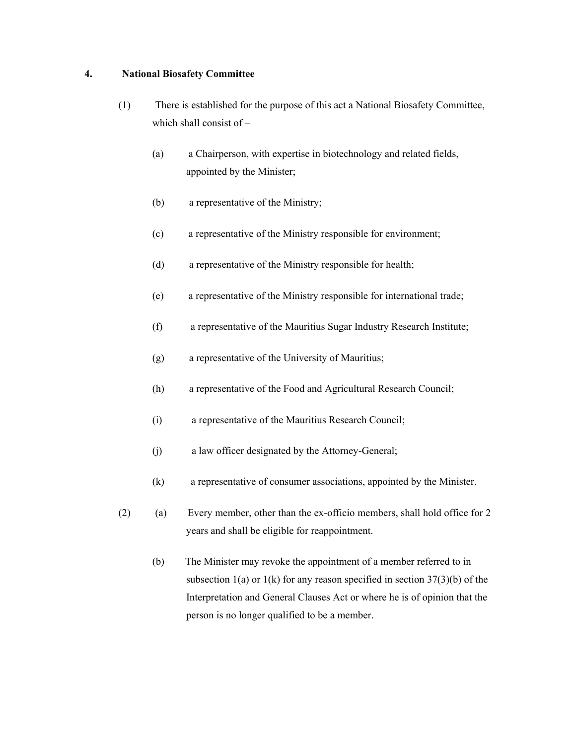#### **4. National Biosafety Committee**

- (1) There is established for the purpose of this act a National Biosafety Committee, which shall consist of –
	- (a) a Chairperson, with expertise in biotechnology and related fields, appointed by the Minister;
	- (b) a representative of the Ministry;
	- (c) a representative of the Ministry responsible for environment;
	- (d) a representative of the Ministry responsible for health;
	- (e) a representative of the Ministry responsible for international trade;
	- (f) a representative of the Mauritius Sugar Industry Research Institute;
	- (g) a representative of the University of Mauritius;
	- (h) a representative of the Food and Agricultural Research Council;
	- (i) a representative of the Mauritius Research Council;
	- (j) a law officer designated by the Attorney-General;
	- (k) a representative of consumer associations, appointed by the Minister.
- (2) (a) Every member, other than the ex-officio members, shall hold office for 2 years and shall be eligible for reappointment.
	- (b) The Minister may revoke the appointment of a member referred to in subsection  $1(a)$  or  $1(k)$  for any reason specified in section  $37(3)(b)$  of the Interpretation and General Clauses Act or where he is of opinion that the person is no longer qualified to be a member.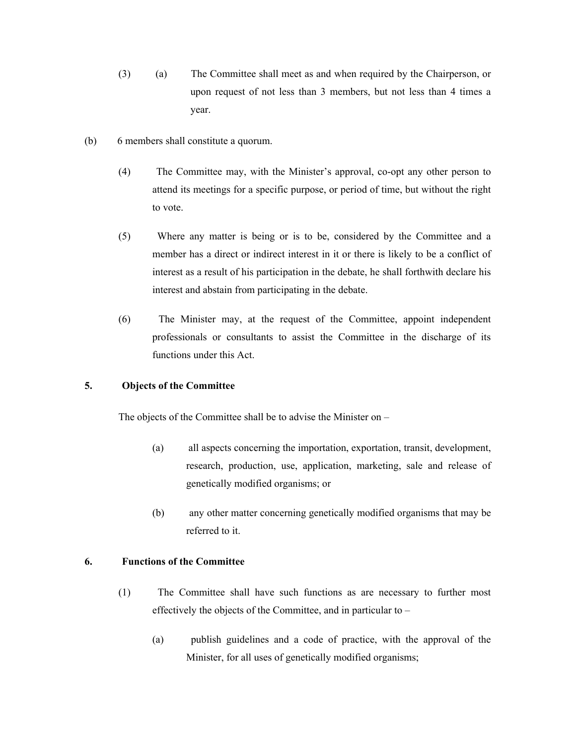- (3) (a) The Committee shall meet as and when required by the Chairperson, or upon request of not less than 3 members, but not less than 4 times a year.
- (b) 6 members shall constitute a quorum.
	- (4) The Committee may, with the Minister's approval, co-opt any other person to attend its meetings for a specific purpose, or period of time, but without the right to vote.
	- (5) Where any matter is being or is to be, considered by the Committee and a member has a direct or indirect interest in it or there is likely to be a conflict of interest as a result of his participation in the debate, he shall forthwith declare his interest and abstain from participating in the debate.
	- (6) The Minister may, at the request of the Committee, appoint independent professionals or consultants to assist the Committee in the discharge of its functions under this Act.

#### **5. Objects of the Committee**

The objects of the Committee shall be to advise the Minister on –

- (a) all aspects concerning the importation, exportation, transit, development, research, production, use, application, marketing, sale and release of genetically modified organisms; or
- (b) any other matter concerning genetically modified organisms that may be referred to it.

#### **6. Functions of the Committee**

- (1) The Committee shall have such functions as are necessary to further most effectively the objects of the Committee, and in particular to –
	- (a) publish guidelines and a code of practice, with the approval of the Minister, for all uses of genetically modified organisms;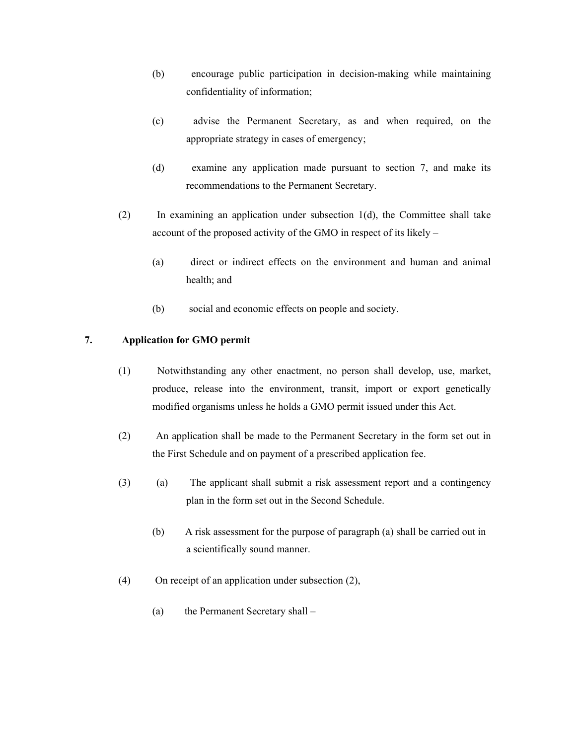- (b) encourage public participation in decision-making while maintaining confidentiality of information;
- (c) advise the Permanent Secretary, as and when required, on the appropriate strategy in cases of emergency;
- (d) examine any application made pursuant to section 7, and make its recommendations to the Permanent Secretary.
- (2) In examining an application under subsection 1(d), the Committee shall take account of the proposed activity of the GMO in respect of its likely –
	- (a) direct or indirect effects on the environment and human and animal health; and
	- (b) social and economic effects on people and society.

#### **7. Application for GMO permit**

- (1) Notwithstanding any other enactment, no person shall develop, use, market, produce, release into the environment, transit, import or export genetically modified organisms unless he holds a GMO permit issued under this Act.
- (2) An application shall be made to the Permanent Secretary in the form set out in the First Schedule and on payment of a prescribed application fee.
- (3) (a) The applicant shall submit a risk assessment report and a contingency plan in the form set out in the Second Schedule.
	- (b) A risk assessment for the purpose of paragraph (a) shall be carried out in a scientifically sound manner.
- (4) On receipt of an application under subsection (2),
	- (a) the Permanent Secretary shall –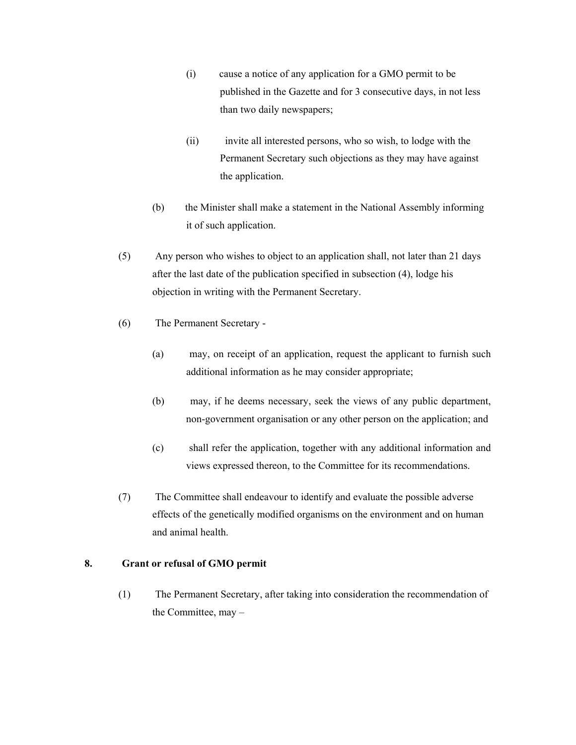- (i) cause a notice of any application for a GMO permit to be published in the Gazette and for 3 consecutive days, in not less than two daily newspapers;
- (ii) invite all interested persons, who so wish, to lodge with the Permanent Secretary such objections as they may have against the application.
- (b) the Minister shall make a statement in the National Assembly informing it of such application.
- (5) Any person who wishes to object to an application shall, not later than 21 days after the last date of the publication specified in subsection (4), lodge his objection in writing with the Permanent Secretary.
- (6) The Permanent Secretary
	- (a) may, on receipt of an application, request the applicant to furnish such additional information as he may consider appropriate;
	- (b) may, if he deems necessary, seek the views of any public department, non-government organisation or any other person on the application; and
	- (c) shall refer the application, together with any additional information and views expressed thereon, to the Committee for its recommendations.
- (7) The Committee shall endeavour to identify and evaluate the possible adverse effects of the genetically modified organisms on the environment and on human and animal health.

#### **8. Grant or refusal of GMO permit**

(1) The Permanent Secretary, after taking into consideration the recommendation of the Committee, may –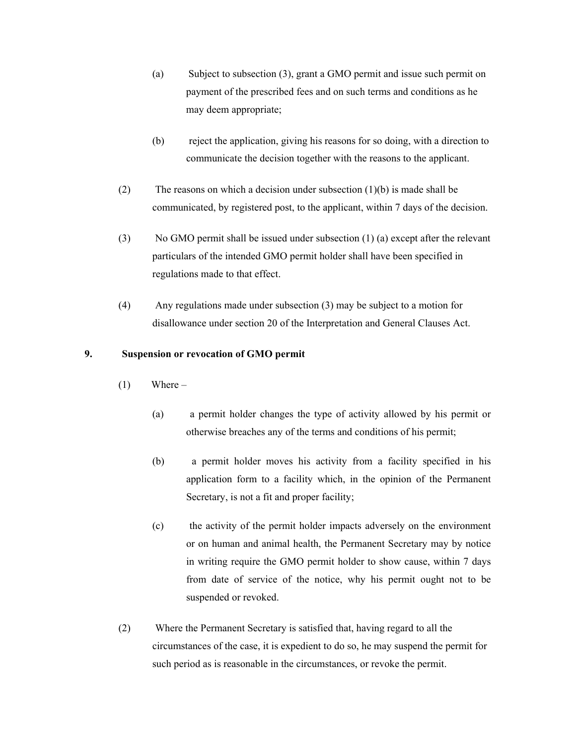- (a) Subject to subsection (3), grant a GMO permit and issue such permit on payment of the prescribed fees and on such terms and conditions as he may deem appropriate;
- (b) reject the application, giving his reasons for so doing, with a direction to communicate the decision together with the reasons to the applicant.
- (2) The reasons on which a decision under subsection (1)(b) is made shall be communicated, by registered post, to the applicant, within 7 days of the decision.
- (3) No GMO permit shall be issued under subsection (1) (a) except after the relevant particulars of the intended GMO permit holder shall have been specified in regulations made to that effect.
- (4) Any regulations made under subsection (3) may be subject to a motion for disallowance under section 20 of the Interpretation and General Clauses Act.

#### **9. Suspension or revocation of GMO permit**

- $(1)$  Where
	- (a) a permit holder changes the type of activity allowed by his permit or otherwise breaches any of the terms and conditions of his permit;
	- (b) a permit holder moves his activity from a facility specified in his application form to a facility which, in the opinion of the Permanent Secretary, is not a fit and proper facility;
	- (c) the activity of the permit holder impacts adversely on the environment or on human and animal health, the Permanent Secretary may by notice in writing require the GMO permit holder to show cause, within 7 days from date of service of the notice, why his permit ought not to be suspended or revoked.
- (2) Where the Permanent Secretary is satisfied that, having regard to all the circumstances of the case, it is expedient to do so, he may suspend the permit for such period as is reasonable in the circumstances, or revoke the permit.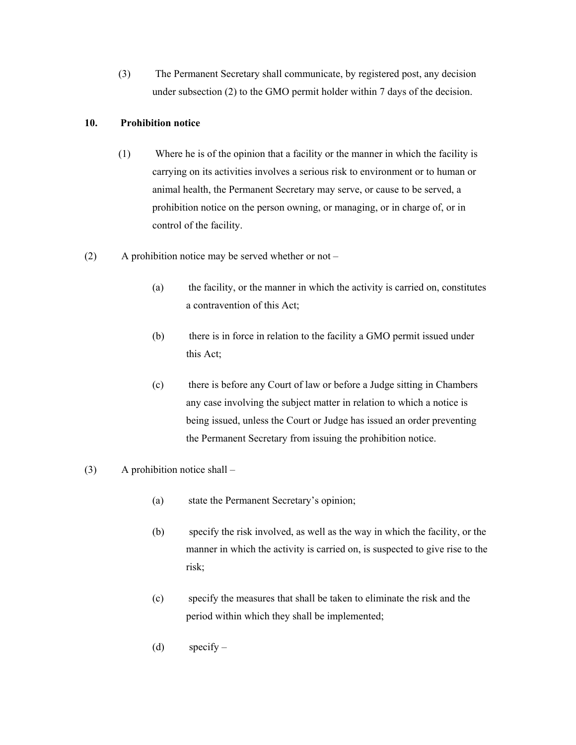(3) The Permanent Secretary shall communicate, by registered post, any decision under subsection (2) to the GMO permit holder within 7 days of the decision.

#### **10. Prohibition notice**

- (1) Where he is of the opinion that a facility or the manner in which the facility is carrying on its activities involves a serious risk to environment or to human or animal health, the Permanent Secretary may serve, or cause to be served, a prohibition notice on the person owning, or managing, or in charge of, or in control of the facility.
- (2) A prohibition notice may be served whether or not
	- (a) the facility, or the manner in which the activity is carried on, constitutes a contravention of this Act;
	- (b) there is in force in relation to the facility a GMO permit issued under this Act;
	- (c) there is before any Court of law or before a Judge sitting in Chambers any case involving the subject matter in relation to which a notice is being issued, unless the Court or Judge has issued an order preventing the Permanent Secretary from issuing the prohibition notice.
- (3) A prohibition notice shall
	- (a) state the Permanent Secretary's opinion;
	- (b) specify the risk involved, as well as the way in which the facility, or the manner in which the activity is carried on, is suspected to give rise to the risk;
	- (c) specify the measures that shall be taken to eliminate the risk and the period within which they shall be implemented;
	- (d) specify  $-$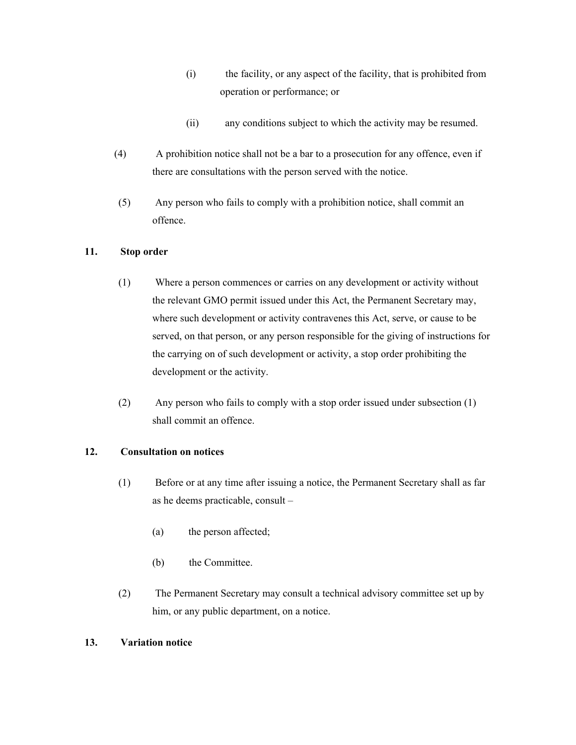- (i) the facility, or any aspect of the facility, that is prohibited from operation or performance; or
- (ii) any conditions subject to which the activity may be resumed.
- (4) A prohibition notice shall not be a bar to a prosecution for any offence, even if there are consultations with the person served with the notice.
- (5) Any person who fails to comply with a prohibition notice, shall commit an offence.

## **11. Stop order**

- (1) Where a person commences or carries on any development or activity without the relevant GMO permit issued under this Act, the Permanent Secretary may, where such development or activity contravenes this Act, serve, or cause to be served, on that person, or any person responsible for the giving of instructions for the carrying on of such development or activity, a stop order prohibiting the development or the activity.
- (2) Any person who fails to comply with a stop order issued under subsection (1) shall commit an offence.

#### **12. Consultation on notices**

- (1) Before or at any time after issuing a notice, the Permanent Secretary shall as far as he deems practicable, consult –
	- (a) the person affected;
	- (b) the Committee.
- (2) The Permanent Secretary may consult a technical advisory committee set up by him, or any public department, on a notice.

#### **13. Variation notice**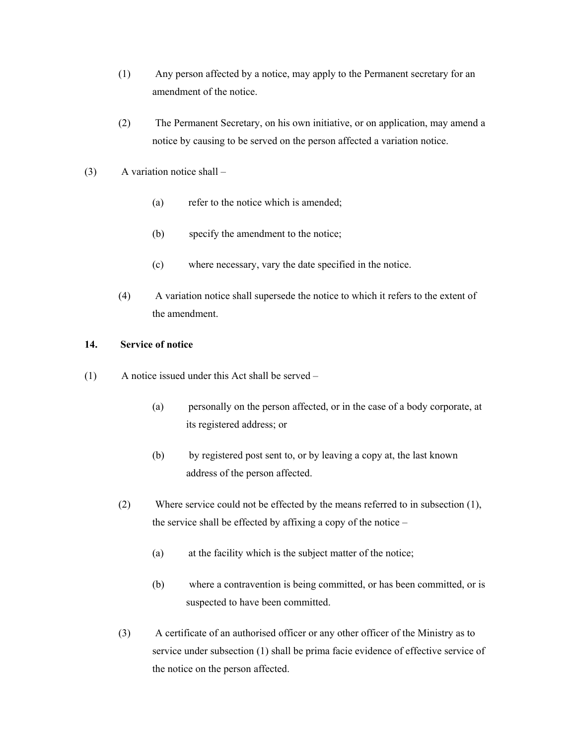- (1) Any person affected by a notice, may apply to the Permanent secretary for an amendment of the notice.
- (2) The Permanent Secretary, on his own initiative, or on application, may amend a notice by causing to be served on the person affected a variation notice.
- (3) A variation notice shall
	- (a) refer to the notice which is amended;
	- (b) specify the amendment to the notice;
	- (c) where necessary, vary the date specified in the notice.
	- (4) A variation notice shall supersede the notice to which it refers to the extent of the amendment.

#### **14. Service of notice**

- (1) A notice issued under this Act shall be served
	- (a) personally on the person affected, or in the case of a body corporate, at its registered address; or
	- (b) by registered post sent to, or by leaving a copy at, the last known address of the person affected.
	- (2) Where service could not be effected by the means referred to in subsection (1), the service shall be effected by affixing a copy of the notice –
		- (a) at the facility which is the subject matter of the notice;
		- (b) where a contravention is being committed, or has been committed, or is suspected to have been committed.
	- (3) A certificate of an authorised officer or any other officer of the Ministry as to service under subsection (1) shall be prima facie evidence of effective service of the notice on the person affected.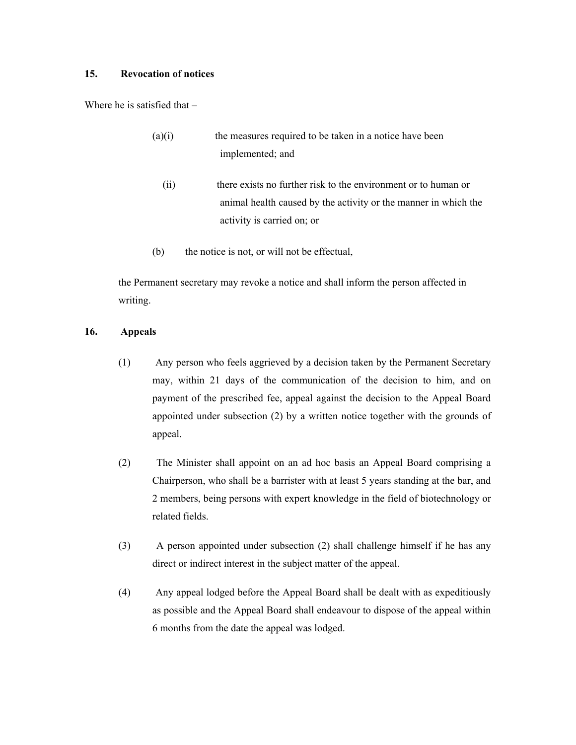#### **15. Revocation of notices**

Where he is satisfied that –

- (a)(i) the measures required to be taken in a notice have been implemented; and
	- (ii) there exists no further risk to the environment or to human or animal health caused by the activity or the manner in which the activity is carried on; or
- (b) the notice is not, or will not be effectual,

the Permanent secretary may revoke a notice and shall inform the person affected in writing.

#### **16. Appeals**

- (1) Any person who feels aggrieved by a decision taken by the Permanent Secretary may, within 21 days of the communication of the decision to him, and on payment of the prescribed fee, appeal against the decision to the Appeal Board appointed under subsection (2) by a written notice together with the grounds of appeal.
- (2) The Minister shall appoint on an ad hoc basis an Appeal Board comprising a Chairperson, who shall be a barrister with at least 5 years standing at the bar, and 2 members, being persons with expert knowledge in the field of biotechnology or related fields.
- (3) A person appointed under subsection (2) shall challenge himself if he has any direct or indirect interest in the subject matter of the appeal.
- (4) Any appeal lodged before the Appeal Board shall be dealt with as expeditiously as possible and the Appeal Board shall endeavour to dispose of the appeal within 6 months from the date the appeal was lodged.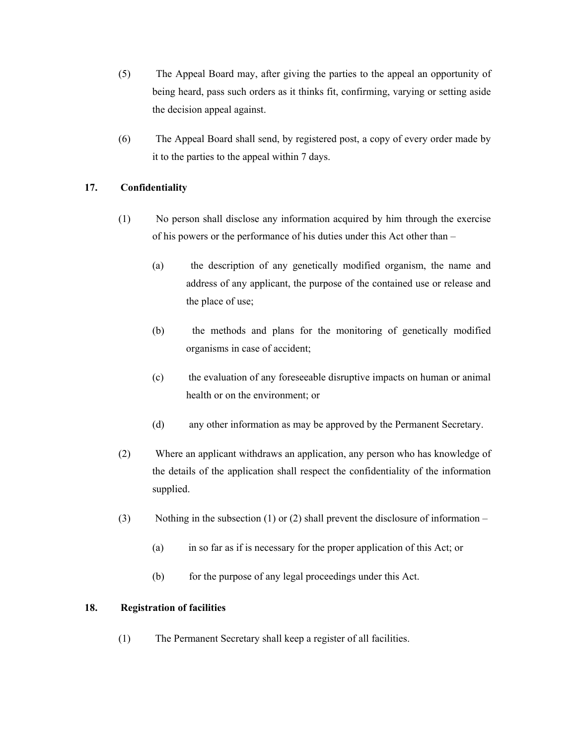- (5) The Appeal Board may, after giving the parties to the appeal an opportunity of being heard, pass such orders as it thinks fit, confirming, varying or setting aside the decision appeal against.
- (6) The Appeal Board shall send, by registered post, a copy of every order made by it to the parties to the appeal within 7 days.

#### **17. Confidentiality**

- (1) No person shall disclose any information acquired by him through the exercise of his powers or the performance of his duties under this Act other than –
	- (a) the description of any genetically modified organism, the name and address of any applicant, the purpose of the contained use or release and the place of use;
	- (b) the methods and plans for the monitoring of genetically modified organisms in case of accident;
	- (c) the evaluation of any foreseeable disruptive impacts on human or animal health or on the environment; or
	- (d) any other information as may be approved by the Permanent Secretary.
- (2) Where an applicant withdraws an application, any person who has knowledge of the details of the application shall respect the confidentiality of the information supplied.
- (3) Nothing in the subsection (1) or (2) shall prevent the disclosure of information
	- (a) in so far as if is necessary for the proper application of this Act; or
	- (b) for the purpose of any legal proceedings under this Act.

#### **18. Registration of facilities**

(1) The Permanent Secretary shall keep a register of all facilities.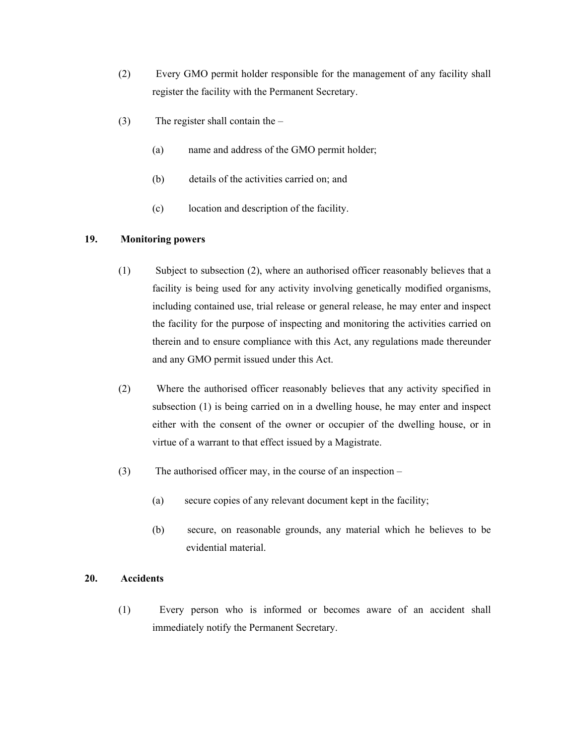- (2) Every GMO permit holder responsible for the management of any facility shall register the facility with the Permanent Secretary.
- (3) The register shall contain the
	- (a) name and address of the GMO permit holder;
	- (b) details of the activities carried on; and
	- (c) location and description of the facility.

#### **19. Monitoring powers**

- (1) Subject to subsection (2), where an authorised officer reasonably believes that a facility is being used for any activity involving genetically modified organisms, including contained use, trial release or general release, he may enter and inspect the facility for the purpose of inspecting and monitoring the activities carried on therein and to ensure compliance with this Act, any regulations made thereunder and any GMO permit issued under this Act.
- (2) Where the authorised officer reasonably believes that any activity specified in subsection (1) is being carried on in a dwelling house, he may enter and inspect either with the consent of the owner or occupier of the dwelling house, or in virtue of a warrant to that effect issued by a Magistrate.
- (3) The authorised officer may, in the course of an inspection
	- (a) secure copies of any relevant document kept in the facility;
	- (b) secure, on reasonable grounds, any material which he believes to be evidential material.

#### **20. Accidents**

(1) Every person who is informed or becomes aware of an accident shall immediately notify the Permanent Secretary.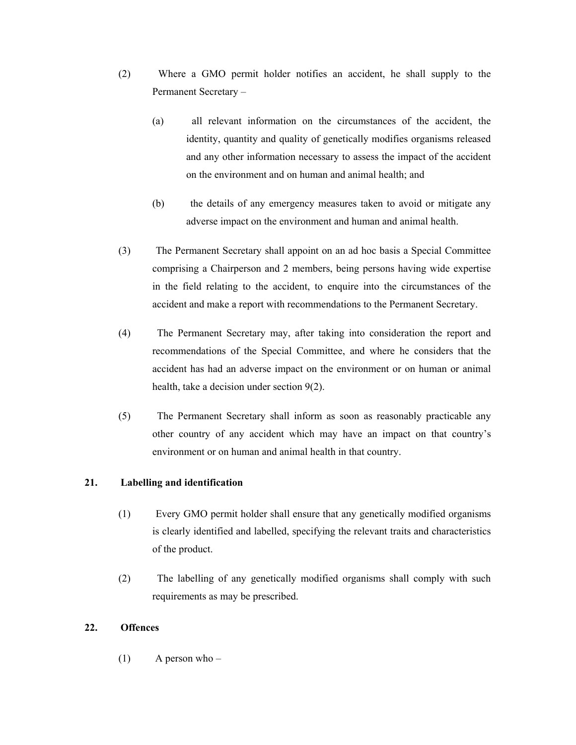- (2) Where a GMO permit holder notifies an accident, he shall supply to the Permanent Secretary –
	- (a) all relevant information on the circumstances of the accident, the identity, quantity and quality of genetically modifies organisms released and any other information necessary to assess the impact of the accident on the environment and on human and animal health; and
	- (b) the details of any emergency measures taken to avoid or mitigate any adverse impact on the environment and human and animal health.
- (3) The Permanent Secretary shall appoint on an ad hoc basis a Special Committee comprising a Chairperson and 2 members, being persons having wide expertise in the field relating to the accident, to enquire into the circumstances of the accident and make a report with recommendations to the Permanent Secretary.
- (4) The Permanent Secretary may, after taking into consideration the report and recommendations of the Special Committee, and where he considers that the accident has had an adverse impact on the environment or on human or animal health, take a decision under section 9(2).
- (5) The Permanent Secretary shall inform as soon as reasonably practicable any other country of any accident which may have an impact on that country's environment or on human and animal health in that country.

#### **21. Labelling and identification**

- (1) Every GMO permit holder shall ensure that any genetically modified organisms is clearly identified and labelled, specifying the relevant traits and characteristics of the product.
- (2) The labelling of any genetically modified organisms shall comply with such requirements as may be prescribed.

#### **22. Offences**

 $(1)$  A person who –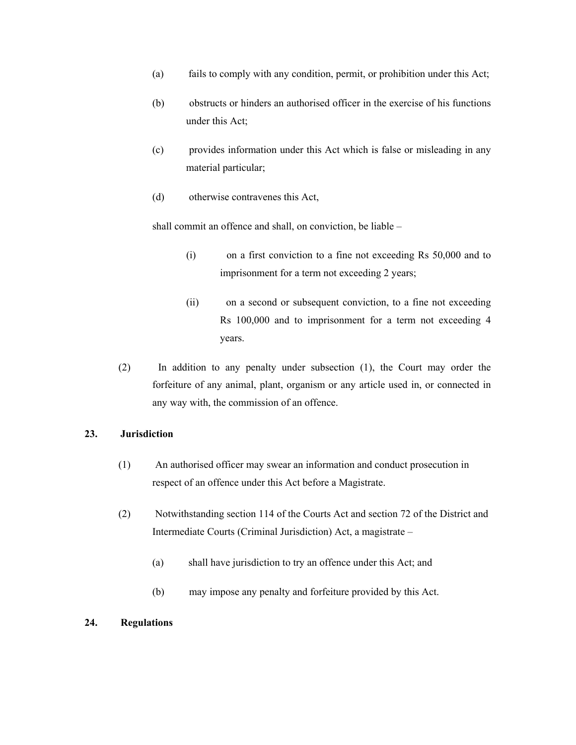- (a) fails to comply with any condition, permit, or prohibition under this Act;
- (b) obstructs or hinders an authorised officer in the exercise of his functions under this Act;
- (c) provides information under this Act which is false or misleading in any material particular;
- (d) otherwise contravenes this Act,

shall commit an offence and shall, on conviction, be liable –

- (i) on a first conviction to a fine not exceeding Rs 50,000 and to imprisonment for a term not exceeding 2 years;
- (ii) on a second or subsequent conviction, to a fine not exceeding Rs 100,000 and to imprisonment for a term not exceeding 4 years.
- (2) In addition to any penalty under subsection (1), the Court may order the forfeiture of any animal, plant, organism or any article used in, or connected in any way with, the commission of an offence.

#### **23. Jurisdiction**

- (1) An authorised officer may swear an information and conduct prosecution in respect of an offence under this Act before a Magistrate.
- (2) Notwithstanding section 114 of the Courts Act and section 72 of the District and Intermediate Courts (Criminal Jurisdiction) Act, a magistrate –
	- (a) shall have jurisdiction to try an offence under this Act; and
	- (b) may impose any penalty and forfeiture provided by this Act.

#### **24. Regulations**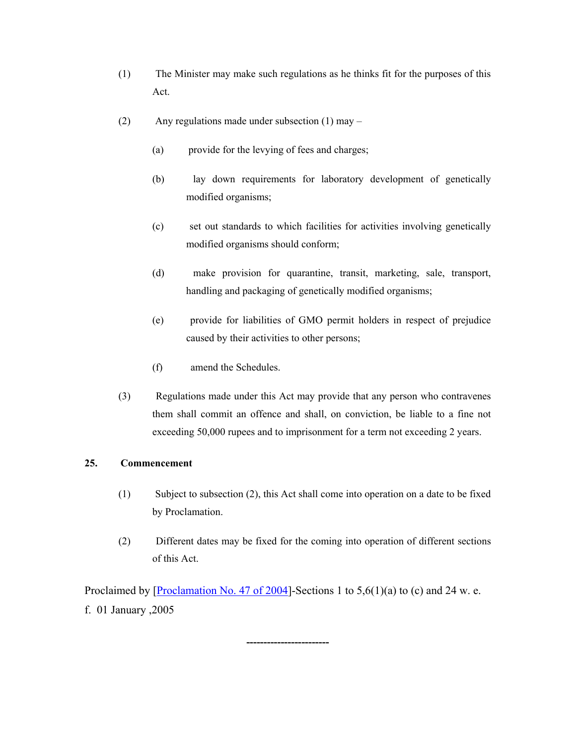- (1) The Minister may make such regulations as he thinks fit for the purposes of this Act.
- (2) Any regulations made under subsection (1) may
	- (a) provide for the levying of fees and charges;
	- (b) lay down requirements for laboratory development of genetically modified organisms;
	- (c) set out standards to which facilities for activities involving genetically modified organisms should conform;
	- (d) make provision for quarantine, transit, marketing, sale, transport, handling and packaging of genetically modified organisms;
	- (e) provide for liabilities of GMO permit holders in respect of prejudice caused by their activities to other persons;
	- (f) amend the Schedules.
- (3) Regulations made under this Act may provide that any person who contravenes them shall commit an offence and shall, on conviction, be liable to a fine not exceeding 50,000 rupees and to imprisonment for a term not exceeding 2 years.

#### **25. Commencement**

- (1) Subject to subsection (2), this Act shall come into operation on a date to be fixed by Proclamation.
- (2) Different dates may be fixed for the coming into operation of different sections of this Act.

Proclaimed by [Proclamation No. 47 of 2004]-Sections 1 to  $5.6(1)(a)$  to (c) and 24 w. e. f. 01 January ,2005

**------------------------**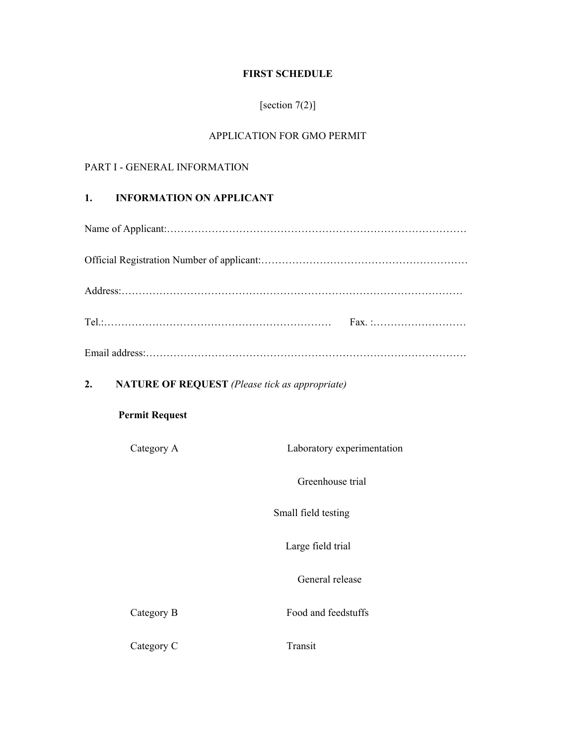## **FIRST SCHEDULE**

# [section 7(2)]

# APPLICATION FOR GMO PERMIT

# PART I - GENERAL INFORMATION

#### **1. INFORMATION ON APPLICANT**

|                                                             | Fax. :                     |  |  |  |
|-------------------------------------------------------------|----------------------------|--|--|--|
|                                                             |                            |  |  |  |
| <b>NATURE OF REQUEST</b> (Please tick as appropriate)<br>2. |                            |  |  |  |
| <b>Permit Request</b>                                       |                            |  |  |  |
| Category A                                                  | Laboratory experimentation |  |  |  |
|                                                             | Greenhouse trial           |  |  |  |
|                                                             | Small field testing        |  |  |  |
|                                                             | Large field trial          |  |  |  |
|                                                             | General release            |  |  |  |
| Category B                                                  | Food and feedstuffs        |  |  |  |
| Category C                                                  | Transit                    |  |  |  |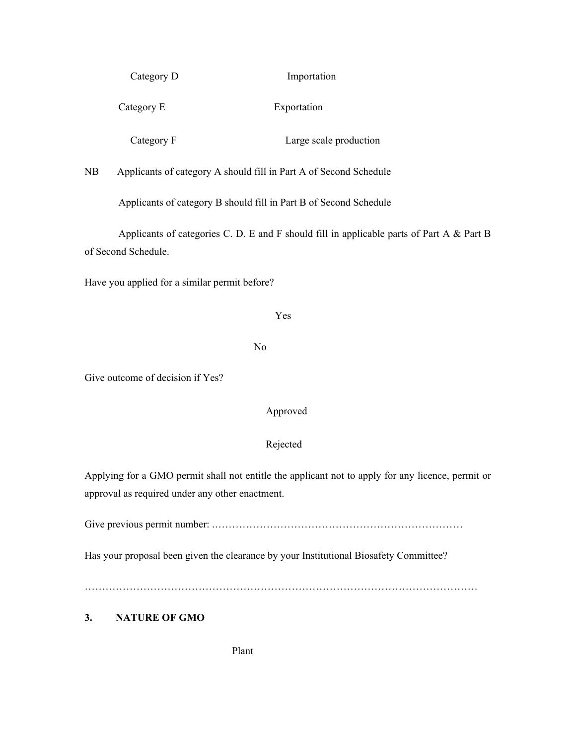| Category D | Importation            |
|------------|------------------------|
| Category E | Exportation            |
| Category F | Large scale production |

NB Applicants of category A should fill in Part A of Second Schedule

Applicants of category B should fill in Part B of Second Schedule

Applicants of categories C. D. E and F should fill in applicable parts of Part A & Part B of Second Schedule.

Have you applied for a similar permit before?

#### Yes

No

Give outcome of decision if Yes?

#### Approved

#### Rejected

Applying for a GMO permit shall not entitle the applicant not to apply for any licence, permit or approval as required under any other enactment.

Give previous permit number: .………………………………………………………………

Has your proposal been given the clearance by your Institutional Biosafety Committee?

……………………………………………………………………………………………………

## **3. NATURE OF GMO**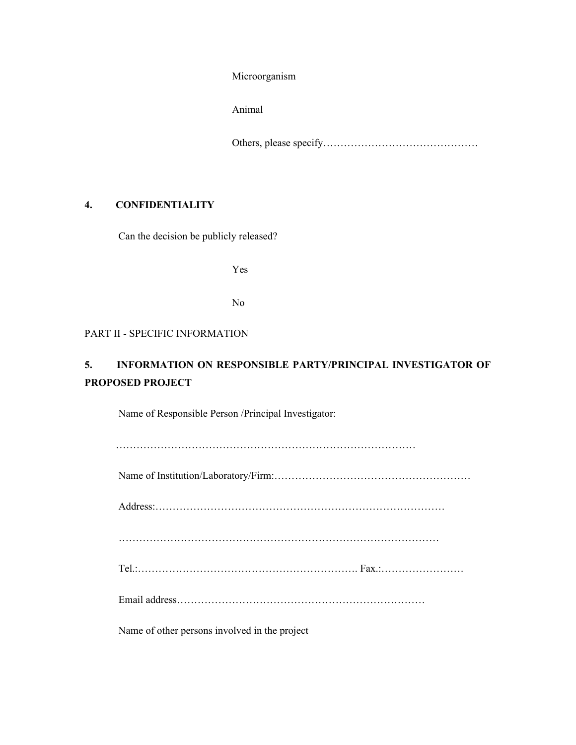Microorganism

Animal

Others, please specify………………………………………

## **4. CONFIDENTIALITY**

Can the decision be publicly released?

Yes

No

#### PART II - SPECIFIC INFORMATION

# **5. INFORMATION ON RESPONSIBLE PARTY/PRINCIPAL INVESTIGATOR OF PROPOSED PROJECT**

Name of Responsible Person /Principal Investigator:

| Name of other persons involved in the project |
|-----------------------------------------------|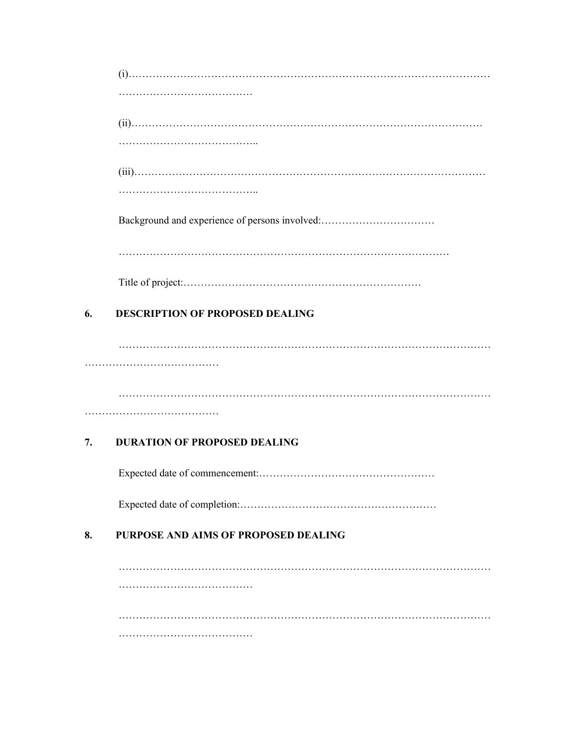|    | Background and experience of persons involved: |
|----|------------------------------------------------|
|    |                                                |
|    |                                                |
| 6. | <b>DESCRIPTION OF PROPOSED DEALING</b>         |
|    |                                                |
|    |                                                |
|    |                                                |
|    |                                                |
| 7. | <b>DURATION OF PROPOSED DEALING</b>            |
|    |                                                |
|    |                                                |
| 8. | PURPOSE AND AIMS OF PROPOSED DEALING           |
|    |                                                |
|    |                                                |
|    |                                                |
|    |                                                |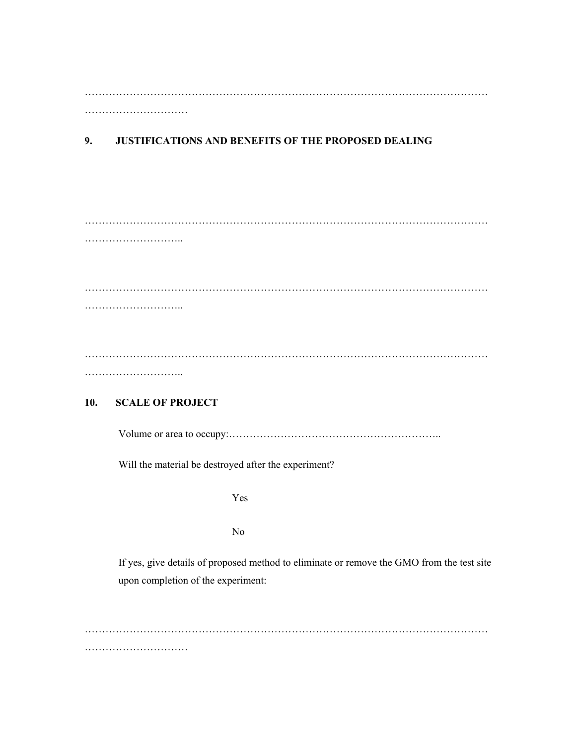……………………………………………………………………………………………………… …………………………

# **9. JUSTIFICATIONS AND BENEFITS OF THE PROPOSED DEALING**

#### **10. SCALE OF PROJECT**

Volume or area to occupy:……………………………………………………..

Will the material be destroyed after the experiment?

Yes

No

If yes, give details of proposed method to eliminate or remove the GMO from the test site upon completion of the experiment:

……………………………………………………………………………………………………… ………………………………………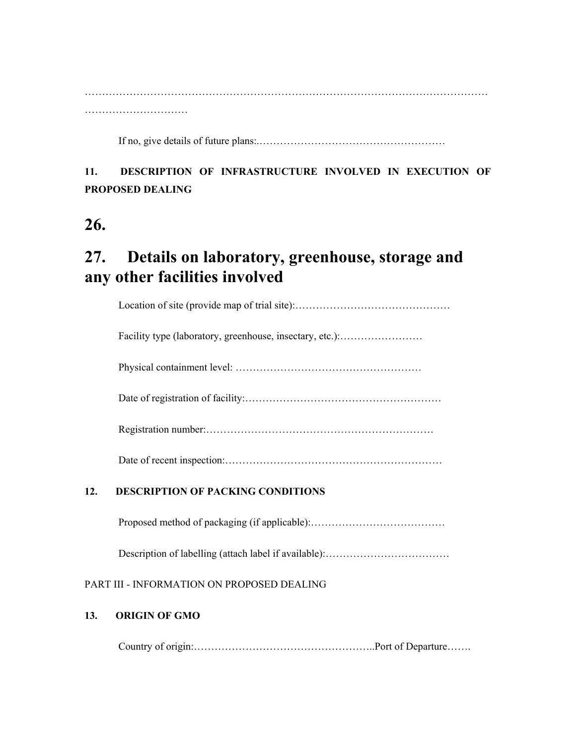If no, give details of future plans:.………………………………………………

# **11. DESCRIPTION OF INFRASTRUCTURE INVOLVED IN EXECUTION OF PROPOSED DEALING**

# **26.**

# **27. Details on laboratory, greenhouse, storage and any other facilities involved**

Location of site (provide map of trial site):………………………………………

Facility type (laboratory, greenhouse, insectary, etc.):.........................

Physical containment level: ………………………………………………

Date of registration of facility:…………………………………………………

Registration number:…………………………………………………………

Date of recent inspection:………………………………………………………

# **12. DESCRIPTION OF PACKING CONDITIONS**

Proposed method of packaging (if applicable):…………………………………

Description of labelling (attach label if available):………………………………

# PART III - INFORMATION ON PROPOSED DEALING

# **13. ORIGIN OF GMO**

Country of origin:……………………………………………..Port of Departure…….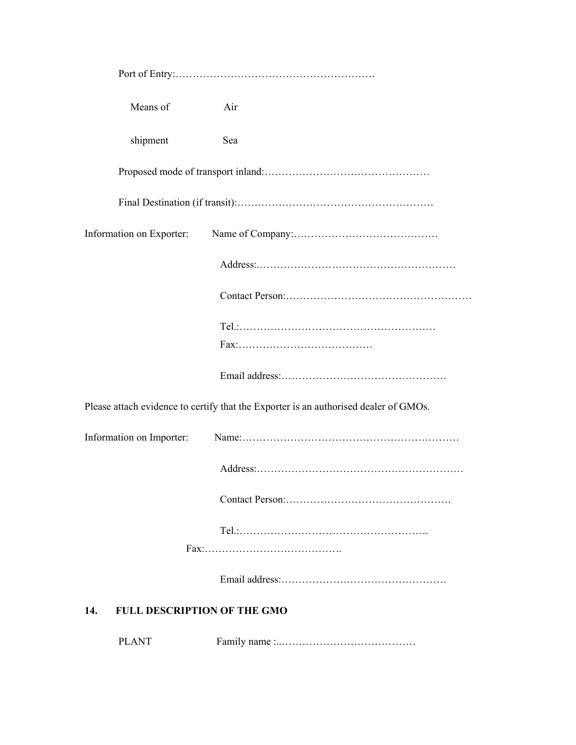| Means of                                  | Air                                                                                  |
|-------------------------------------------|--------------------------------------------------------------------------------------|
| shipment                                  | Sea                                                                                  |
|                                           |                                                                                      |
|                                           |                                                                                      |
| Information on Exporter:                  |                                                                                      |
|                                           |                                                                                      |
|                                           |                                                                                      |
|                                           |                                                                                      |
|                                           |                                                                                      |
|                                           | Please attach evidence to certify that the Exporter is an authorised dealer of GMOs. |
| Information on Importer:                  |                                                                                      |
|                                           |                                                                                      |
|                                           |                                                                                      |
|                                           |                                                                                      |
|                                           |                                                                                      |
|                                           |                                                                                      |
| 14.<br><b>FULL DESCRIPTION OF THE GMO</b> |                                                                                      |
| <b>PLANT</b>                              |                                                                                      |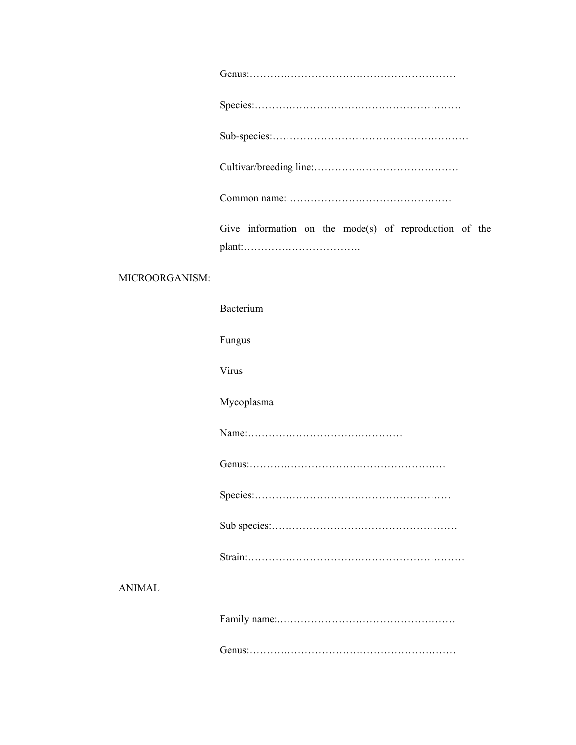|                | Give information on the mode(s) of reproduction of the |
|----------------|--------------------------------------------------------|
| MICROORGANISM: |                                                        |
|                | Bacterium                                              |
|                | Fungus                                                 |
|                | Virus                                                  |
|                | Mycoplasma                                             |
|                |                                                        |
|                |                                                        |
|                |                                                        |
|                |                                                        |
|                |                                                        |
| <b>ANIMAL</b>  |                                                        |
|                |                                                        |
|                |                                                        |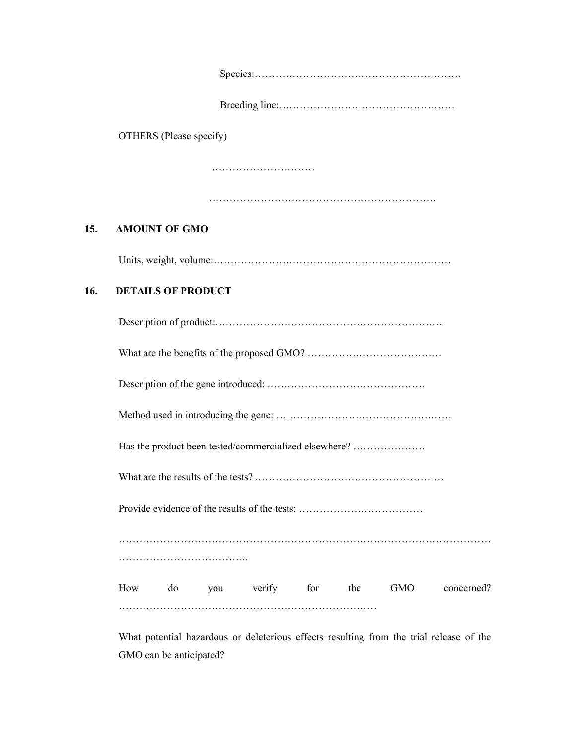| OTHERS (Please specify)<br>15.<br><b>AMOUNT OF GMO</b><br>16.<br><b>DETAILS OF PRODUCT</b> |  |
|--------------------------------------------------------------------------------------------|--|
|                                                                                            |  |
|                                                                                            |  |
|                                                                                            |  |
|                                                                                            |  |
|                                                                                            |  |
|                                                                                            |  |
|                                                                                            |  |
|                                                                                            |  |
|                                                                                            |  |
|                                                                                            |  |
|                                                                                            |  |
| Has the product been tested/commercialized elsewhere?                                      |  |
|                                                                                            |  |
|                                                                                            |  |
|                                                                                            |  |
|                                                                                            |  |
| you verify for the<br>How<br><b>GMO</b><br>do<br>concerned?                                |  |

What potential hazardous or deleterious effects resulting from the trial release of the GMO can be anticipated?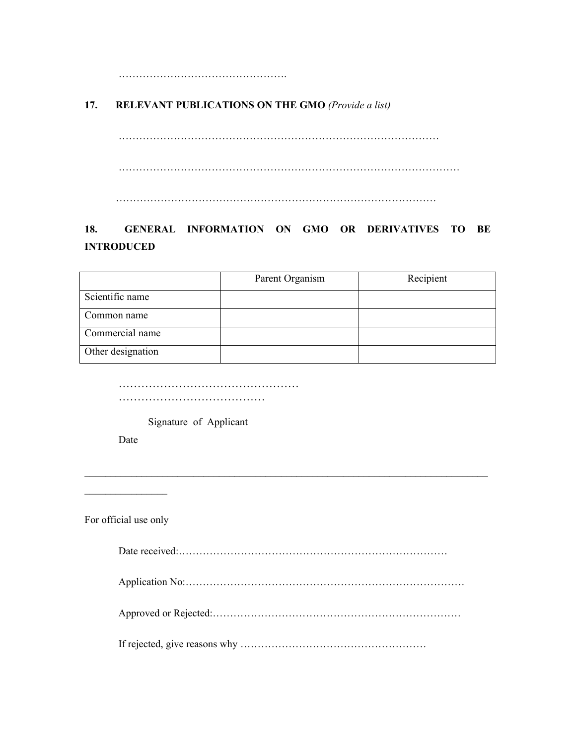…………………………………………………

## **17. RELEVANT PUBLICATIONS ON THE GMO** *(Provide a list)*

………………………………………………………………………………… ……………………………………………………………………………………… …………………………………………………………………………………

# **18. GENERAL INFORMATION ON GMO OR DERIVATIVES TO BE INTRODUCED**

|                   | Parent Organism | Recipient |
|-------------------|-----------------|-----------|
| Scientific name   |                 |           |
| Common name       |                 |           |
| Commercial name   |                 |           |
| Other designation |                 |           |

………………………………………… …………………………………………

Signature of Applicant

Date

For official use only

 $\mathcal{L}_\text{max}$ 

Date received:…………………………………………………………………… Application No:……………………………………………………………………… Approved or Rejected:……………………………………………………………… If rejected, give reasons why ………………………………………………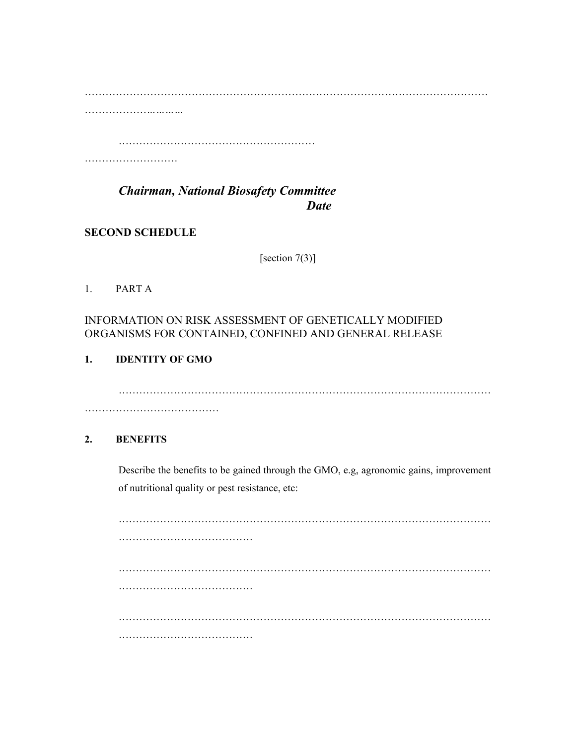……………………………………………………………………………………………………… ………………*…………*

…………………………………………………

…………………………………

*Chairman, National Biosafety Committee Date*  $\overline{$ 

**SECOND SCHEDULE** 

[section 7(3)]

## 1. PART A

# INFORMATION ON RISK ASSESSMENT OF GENETICALLY MODIFIED ORGANISMS FOR CONTAINED, CONFINED AND GENERAL RELEASE

# **1. IDENTITY OF GMO**

……………………………………………………………………………………………… …………………………………

# **2. BENEFITS**

Describe the benefits to be gained through the GMO, e.g, agronomic gains, improvement of nutritional quality or pest resistance, etc:

……………………………………………………………………………………………… ………………………………… ……………………………………………………………………………………………… ………………………………… ……………………………………………………………………………………………… …………………………………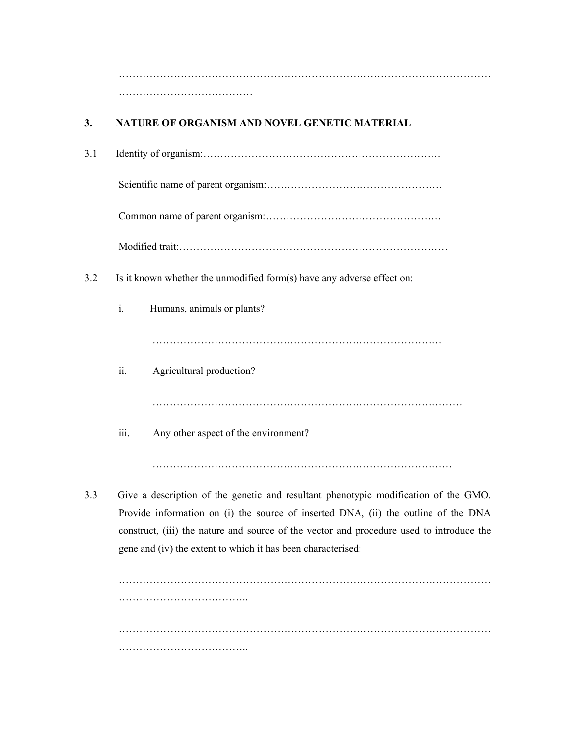……………………………………………………………………………………………… ……………………………………………

# **3. NATURE OF ORGANISM AND NOVEL GENETIC MATERIAL**

3.1 Identity of organism:……………………………………………………………

Scientific name of parent organism:……………………………………………

Common name of parent organism:……………………………………………

Modified trait:……………………………………………………………………

- 3.2 Is it known whether the unmodified form(s) have any adverse effect on:
	- i. Humans, animals or plants?

…………………………………………………………………………

ii. Agricultural production?

………………………………………………………………………………

iii. Any other aspect of the environment?

……………………………………………………………………………

3.3 Give a description of the genetic and resultant phenotypic modification of the GMO. Provide information on (i) the source of inserted DNA, (ii) the outline of the DNA construct, (iii) the nature and source of the vector and procedure used to introduce the gene and (iv) the extent to which it has been characterised:

……………………………………………………………………………………………… …………………………………………… ……………………………………………………………………………………………… …………………………………………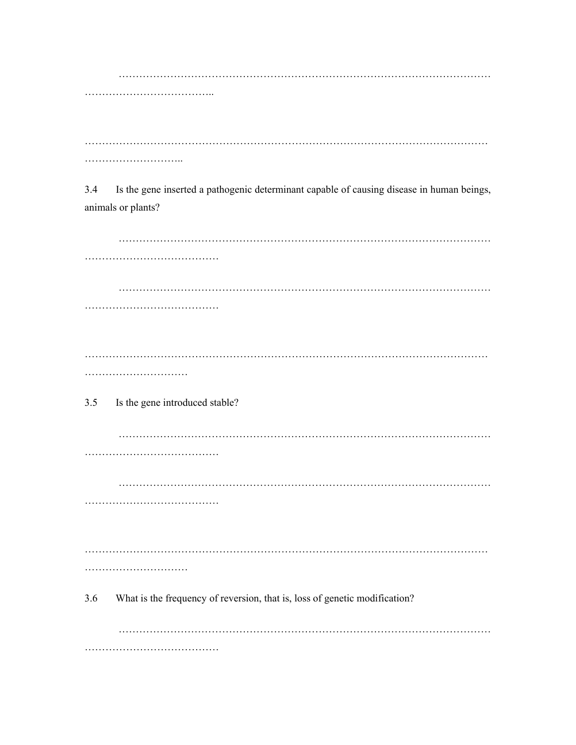$3.4$ Is the gene inserted a pathogenic determinant capable of causing disease in human beings, animals or plants?

 $3.5$ Is the gene introduced stable? 3.6 What is the frequency of reversion, that is, loss of genetic modification?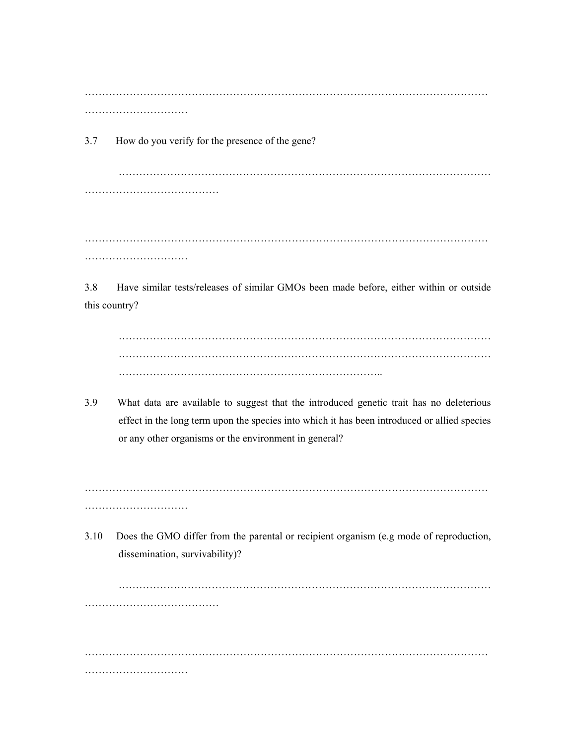……………………………………………………………………………………………………… ……………………………………

3.7 How do you verify for the presence of the gene?

……………………………………………………………………………………………… …………………………………

……………………………………………………………………………………………………… ……………………………

3.8 Have similar tests/releases of similar GMOs been made before, either within or outside this country?

……………………………………………………………………………………………… ……………………………………………………………………………………………… …………………………………………………………………..

3.9 What data are available to suggest that the introduced genetic trait has no deleterious effect in the long term upon the species into which it has been introduced or allied species or any other organisms or the environment in general?

……………………………………………………………………………………………………… ……………………………………

3.10 Does the GMO differ from the parental or recipient organism (e.g mode of reproduction, dissemination, survivability)?

……………………………………………………………………………………………… …………………………………

……………………………………………………………………………………………………… ……………………………………………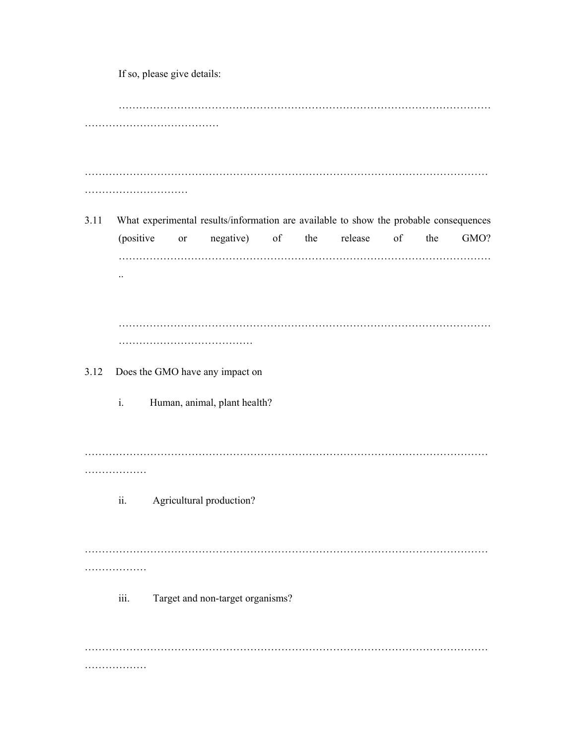If so, please give details: ……………………………………………………………………………………………… …………………………………………… ……………………………………………………………………………………………………… ……………………………………… 3.11 What experimental results/information are available to show the probable consequences (positive or negative) of the release of the GMO? ……………………………………………………………………………………………… .. ……………………………………………………………………………………………… ………………………………… 3.12 Does the GMO have any impact on i. Human, animal, plant health? ……………………………………………………………………………………………………… ……………… ii. Agricultural production? ……………………………………………………………………………………………………… ………………… iii. Target and non-target organisms? ……………………………………………………………………………………………………… ………………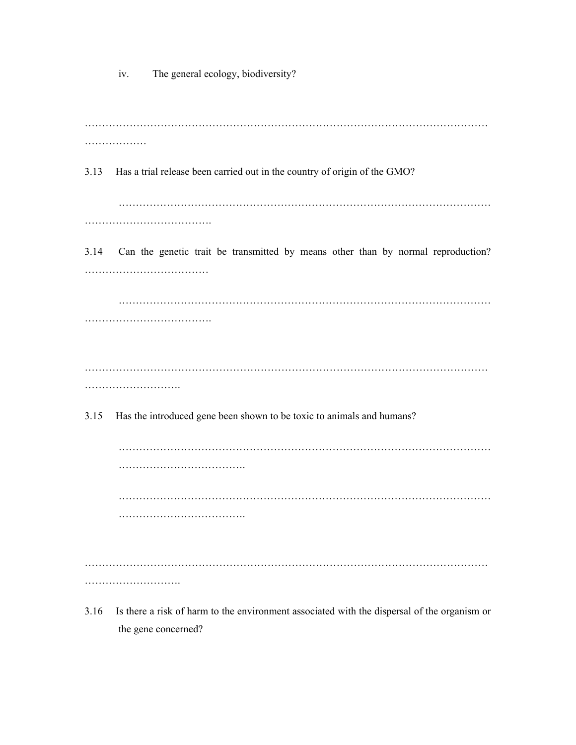iv. The general ecology, biodiversity?

……………………………………………………………………………………………………… ………………… 3.13 Has a trial release been carried out in the country of origin of the GMO? ……………………………………………………………………………………………… ………………………………. 3.14 Can the genetic trait be transmitted by means other than by normal reproduction? ……………………………… ……………………………………………………………………………………………… ………………………………. ……………………………………………………………………………………………………… ………………………. 3.15 Has the introduced gene been shown to be toxic to animals and humans? ……………………………………………………………………………………………… ………………………………. ……………………………………………………………………………………………… ………………………………. ……………………………………………………………………………………………………… …………………………………

3.16 Is there a risk of harm to the environment associated with the dispersal of the organism or the gene concerned?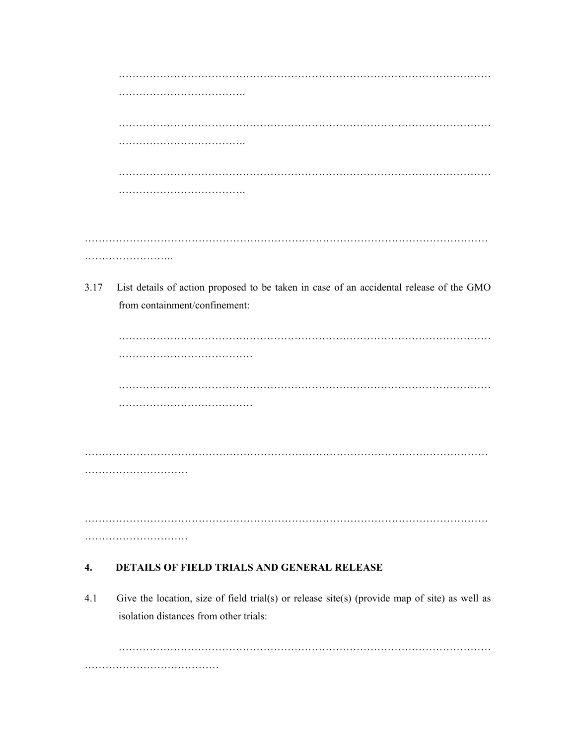| 3.17 | List details of action proposed to be taken in case of an accidental release of the GMO<br>from containment/confinement: |
|------|--------------------------------------------------------------------------------------------------------------------------|
|      |                                                                                                                          |
|      |                                                                                                                          |
|      |                                                                                                                          |
|      |                                                                                                                          |
|      |                                                                                                                          |
|      |                                                                                                                          |
|      |                                                                                                                          |
|      |                                                                                                                          |
|      |                                                                                                                          |
|      |                                                                                                                          |
|      |                                                                                                                          |
| 4.   | <b>DETAILS OF FIELD TRIALS AND GENERAL RELEASE</b>                                                                       |
| 41   | Give the location size of field trial(s) or release site(s) (provide man of site) as well as                             |

4.1 Give the location, size of field trial(s) or release site(s) (provide map of site) as well as isolation distances from other trials:

……………………………………………………………………………………………… …………………………………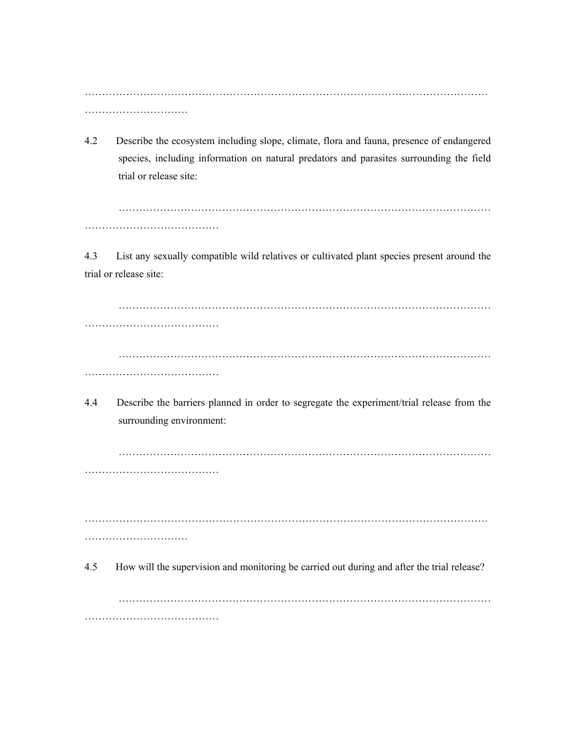……………………………………………………………………………………………………… ……………………………………

4.2 Describe the ecosystem including slope, climate, flora and fauna, presence of endangered species, including information on natural predators and parasites surrounding the field trial or release site:

……………………………………………………………………………………………… …………………………………

4.3 List any sexually compatible wild relatives or cultivated plant species present around the trial or release site:

……………………………………………………………………………………………… ………………………………… ……………………………………………………………………………………………… …………………………………

4.4 Describe the barriers planned in order to segregate the experiment/trial release from the surrounding environment:

……………………………………………………………………………………………… …………………………………

……………………………………………………………………………………………………… …………………………

4.5 How will the supervision and monitoring be carried out during and after the trial release?

……………………………………………………………………………………………… …………………………………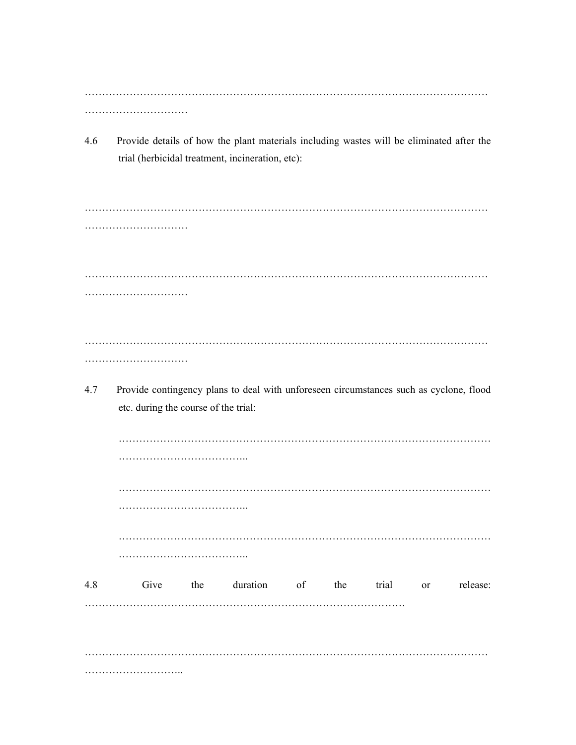……………………………………………………………………………………………………… …………………………

4.6 Provide details of how the plant materials including wastes will be eliminated after the trial (herbicidal treatment, incineration, etc):

……………………………………………………………………………………………………… ………………………… ……………………………………………………………………………………………………… ………………………… ……………………………………………………………………………………………………… …………………………

4.7 Provide contingency plans to deal with unforeseen circumstances such as cyclone, flood etc. during the course of the trial:

| 4.8 |  | Give the duration of the trial or |  |  | release: |
|-----|--|-----------------------------------|--|--|----------|
|     |  |                                   |  |  |          |
|     |  |                                   |  |  |          |
|     |  |                                   |  |  |          |
|     |  |                                   |  |  |          |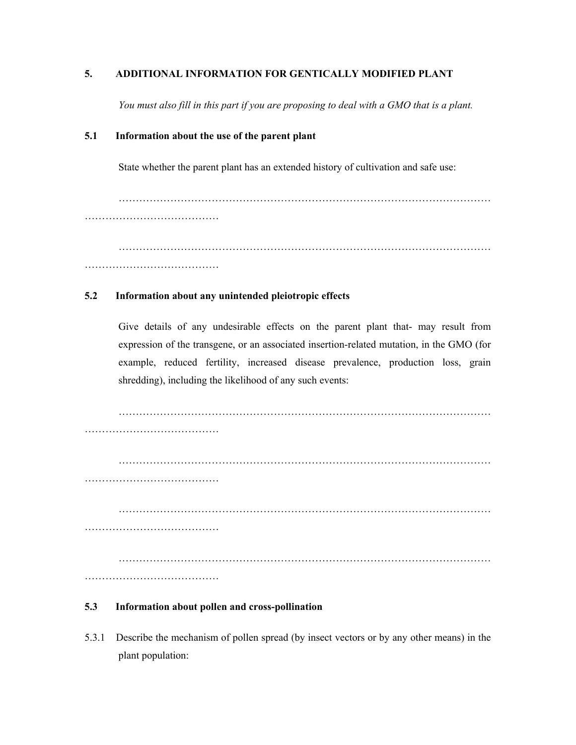#### **5. ADDITIONAL INFORMATION FOR GENTICALLY MODIFIED PLANT**

*You must also fill in this part if you are proposing to deal with a GMO that is a plant.* 

#### **5.1 Information about the use of the parent plant**

State whether the parent plant has an extended history of cultivation and safe use:

……………………………………………………………………………………………… …………………………………

……………………………………………………………………………………………… …………………………………

#### **5.2 Information about any unintended pleiotropic effects**

Give details of any undesirable effects on the parent plant that- may result from expression of the transgene, or an associated insertion-related mutation, in the GMO (for example, reduced fertility, increased disease prevalence, production loss, grain shredding), including the likelihood of any such events:

………………………………… ……………………………………………………………………………………………… ………………………………… ……………………………………………………………………………………………… ………………………………… ……………………………………………………………………………………………… …………………………………

#### **5.3 Information about pollen and cross-pollination**

5.3.1 Describe the mechanism of pollen spread (by insect vectors or by any other means) in the plant population: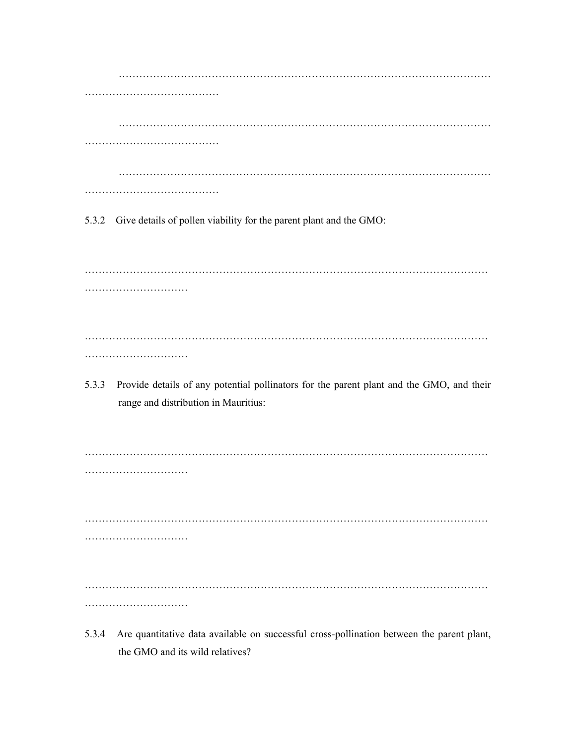……………………………………………………………………………………………… ………………………………… ……………………………………………………………………………………………… ………………………………… ……………………………………………………………………………………………… …………………………………

5.3.2 Give details of pollen viability for the parent plant and the GMO:

……………………………………………………………………………………………………… ………………………………………… ……………………………………………………………………………………………………… ………………………………

5.3.3 Provide details of any potential pollinators for the parent plant and the GMO, and their range and distribution in Mauritius:

……………………………………………………………………………………………………… …………………………

……………………………………………………………………………………………………… …………………………

……………………………………………………………………………………………………… …………………………

5.3.4 Are quantitative data available on successful cross-pollination between the parent plant, the GMO and its wild relatives?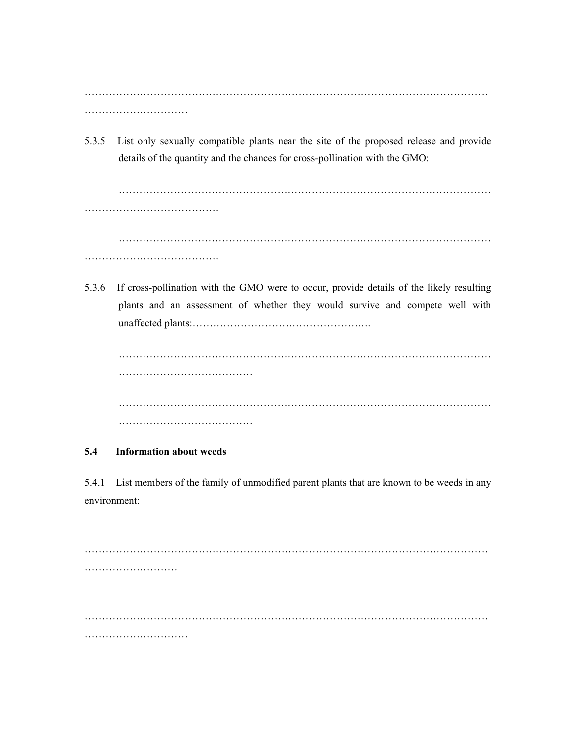……………………………………………………………………………………………………… ……………………………………

5.3.5 List only sexually compatible plants near the site of the proposed release and provide details of the quantity and the chances for cross-pollination with the GMO:

……………………………………………………………………………………………… ………………………………………… ……………………………………………………………………………………………… …………………………………………

5.3.6 If cross-pollination with the GMO were to occur, provide details of the likely resulting plants and an assessment of whether they would survive and compete well with unaffected plants:…………………………………………….

……………………………………………………………………………………………… ………………………………… ……………………………………………………………………………………………… …………………………………

## **5.4 Information about weeds**

5.4.1 List members of the family of unmodified parent plants that are known to be weeds in any environment:

……………………………………………………………………………………………………… ……………………… ……………………………………………………………………………………………………… ……………………………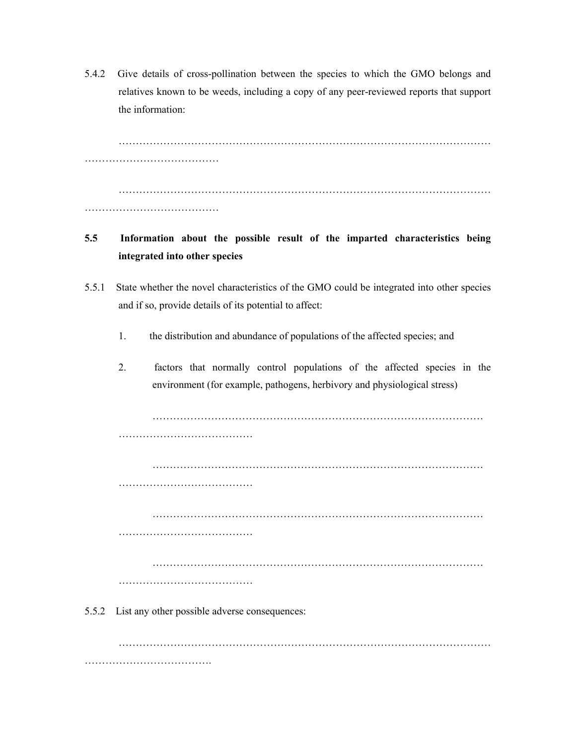5.4.2 Give details of cross-pollination between the species to which the GMO belongs and relatives known to be weeds, including a copy of any peer-reviewed reports that support the information:

……………………………………………………………………………………………… ………………………………… ……………………………………………………………………………………………… …………………………………

# **5.5 Information about the possible result of the imparted characteristics being integrated into other species**

- 5.5.1 State whether the novel characteristics of the GMO could be integrated into other species and if so, provide details of its potential to affect:
	- 1. the distribution and abundance of populations of the affected species; and
	- 2. factors that normally control populations of the affected species in the environment (for example, pathogens, herbivory and physiological stress)

…………………………………………………………………………………… ………………………………… …………………………………………………………………………………… ……………………………………………… …………………………………………………………………………………… ………………………………… …………………………………………………………………………………… …………………………………

5.5.2 List any other possible adverse consequences:

……………………………………………………………………………………………… ………………………………………………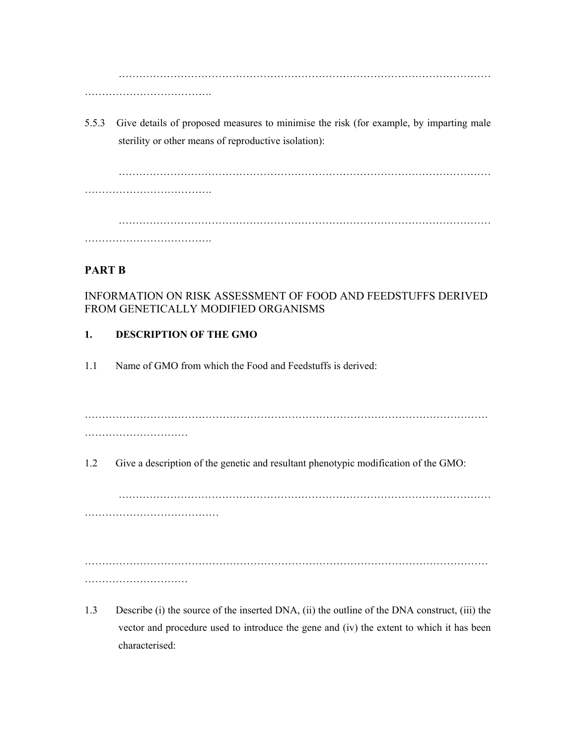……………………………………………………………………………………………… …………………………………………

5.5.3 Give details of proposed measures to minimise the risk (for example, by imparting male sterility or other means of reproductive isolation):

……………………………………………………………………………………………… ……………………………….

………………………………………………………………………………………………

……………………………….

# **PART B**

INFORMATION ON RISK ASSESSMENT OF FOOD AND FEEDSTUFFS DERIVED FROM GENETICALLY MODIFIED ORGANISMS

# **1. DESCRIPTION OF THE GMO**

1.1 Name of GMO from which the Food and Feedstuffs is derived:

………………………………………………………………………………………………………

…………………………

1.2 Give a description of the genetic and resultant phenotypic modification of the GMO:

………………………………………………………………………………………………

……………………………………………

………………………………………………………………………………………………………

…………………………

1.3 Describe (i) the source of the inserted DNA, (ii) the outline of the DNA construct, (iii) the vector and procedure used to introduce the gene and (iv) the extent to which it has been characterised: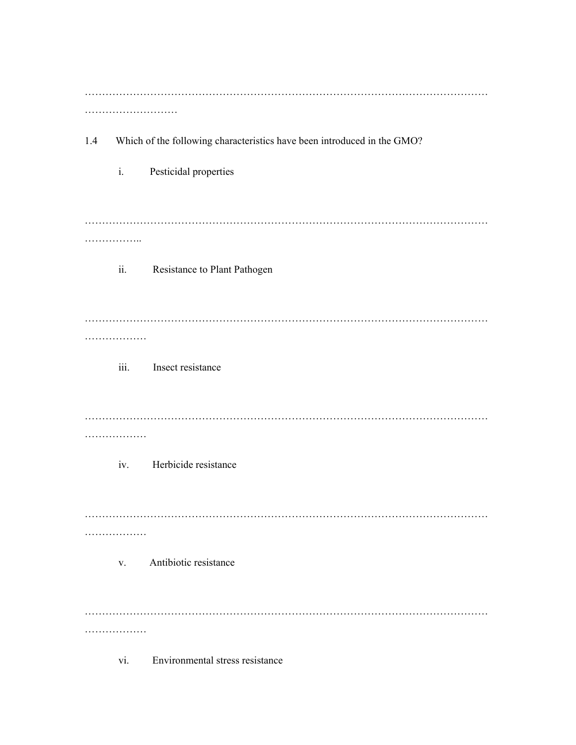| 1.4 | Which of the following characteristics have been introduced in the GMO? |                                 |  |  |  |  |
|-----|-------------------------------------------------------------------------|---------------------------------|--|--|--|--|
|     | $\mathbf{i}$ .                                                          | Pesticidal properties           |  |  |  |  |
|     | .<br>ii.                                                                | Resistance to Plant Pathogen    |  |  |  |  |
|     |                                                                         |                                 |  |  |  |  |
|     | .<br>iii.                                                               | Insect resistance               |  |  |  |  |
|     |                                                                         |                                 |  |  |  |  |
|     | .<br>iv.                                                                | Herbicide resistance            |  |  |  |  |
|     |                                                                         |                                 |  |  |  |  |
|     | V.                                                                      | Antibiotic resistance           |  |  |  |  |
|     |                                                                         |                                 |  |  |  |  |
|     | vi.                                                                     | Environmental stress resistance |  |  |  |  |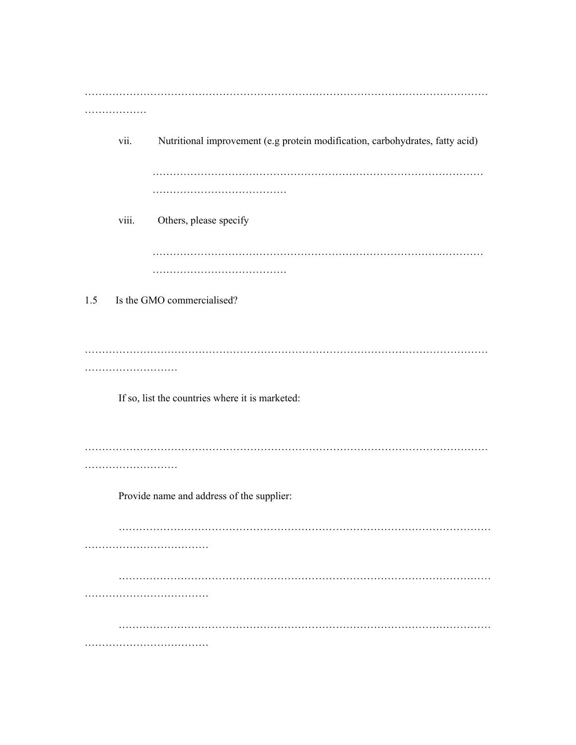……………………………………………………………………………………………………… ………………… vii. Nutritional improvement (e.g protein modification, carbohydrates, fatty acid) …………………………………………………………………………………… ……………………………………………… viii. Others, please specify …………………………………………………………………………………… ……………………………………… 1.5 Is the GMO commercialised? ……………………………………………………………………………………………………… ……………………………………… If so, list the countries where it is marketed: ……………………………………………………………………………………………………… ……………………… Provide name and address of the supplier: ……………………………………………………………………………………………… ……………………………… ……………………………………………………………………………………………… ……………………………… ……………………………………………………………………………………………… ………………………………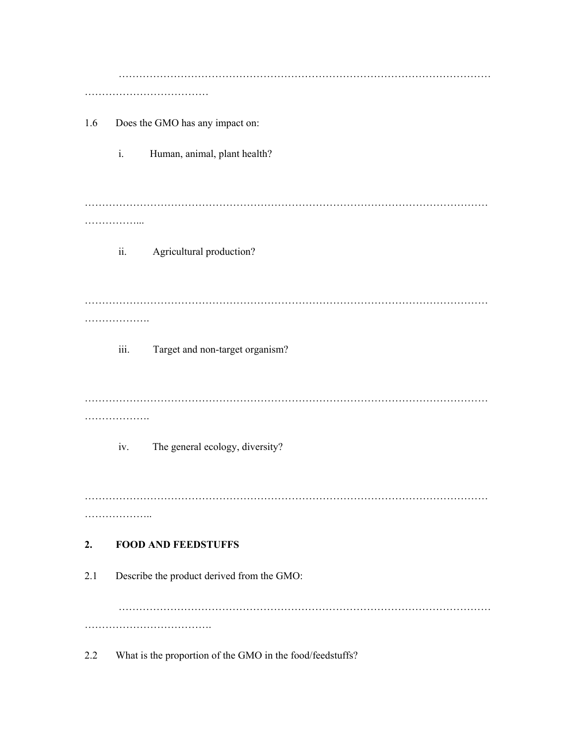|     |                                            | .                               |  |  |  |
|-----|--------------------------------------------|---------------------------------|--|--|--|
| 1.6 | Does the GMO has any impact on:            |                                 |  |  |  |
|     | $\mathbf{i}$ .                             | Human, animal, plant health?    |  |  |  |
|     |                                            |                                 |  |  |  |
|     | .                                          |                                 |  |  |  |
|     | ii.                                        | Agricultural production?        |  |  |  |
|     |                                            |                                 |  |  |  |
|     |                                            |                                 |  |  |  |
|     | iii.                                       | Target and non-target organism? |  |  |  |
|     | .                                          |                                 |  |  |  |
|     | iv.                                        | The general ecology, diversity? |  |  |  |
|     |                                            |                                 |  |  |  |
|     | .                                          |                                 |  |  |  |
| 2.  |                                            | <b>FOOD AND FEEDSTUFFS</b>      |  |  |  |
| 2.1 | Describe the product derived from the GMO: |                                 |  |  |  |
|     |                                            | .                               |  |  |  |
|     |                                            |                                 |  |  |  |

2.2 What is the proportion of the GMO in the food/feedstuffs?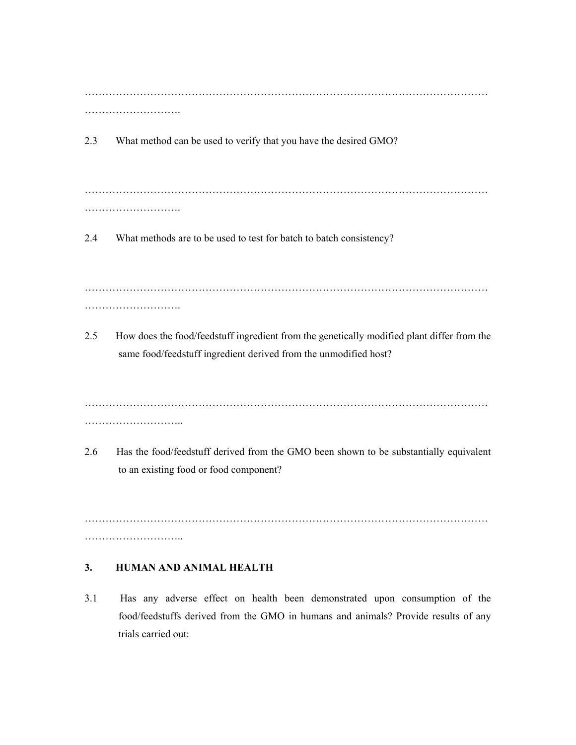……………………………………………………………………………………………………… ………………………………

2.3 What method can be used to verify that you have the desired GMO?

……………………………………………………………………………………………………… ……………………….

2.4 What methods are to be used to test for batch to batch consistency?

……………………………………………………………………………………………………… ……………………….

2.5 How does the food/feedstuff ingredient from the genetically modified plant differ from the same food/feedstuff ingredient derived from the unmodified host?

……………………………………………………………………………………………………… ………………………..

2.6 Has the food/feedstuff derived from the GMO been shown to be substantially equivalent to an existing food or food component?

……………………………………………………………………………………………………… ………………………………

#### **3. HUMAN AND ANIMAL HEALTH**

3.1 Has any adverse effect on health been demonstrated upon consumption of the food/feedstuffs derived from the GMO in humans and animals? Provide results of any trials carried out: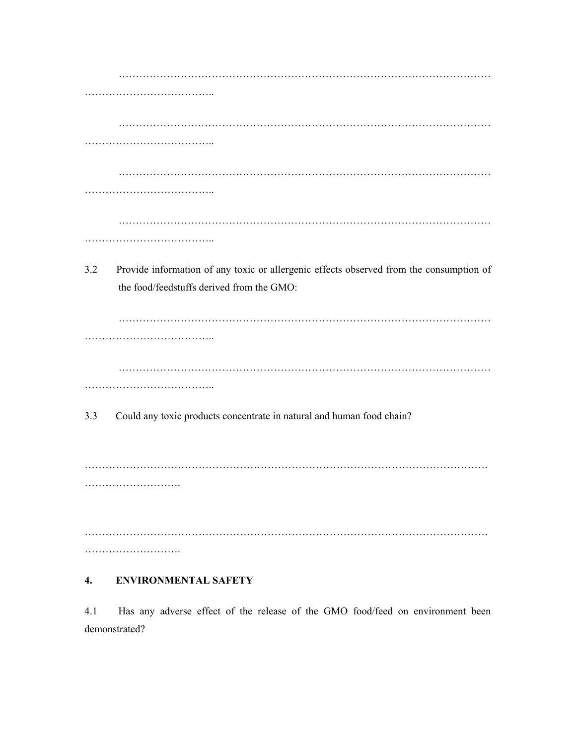| 3.2 | Provide information of any toxic or allergenic effects observed from the consumption of |
|-----|-----------------------------------------------------------------------------------------|
|     | the food/feedstuffs derived from the GMO:                                               |
|     |                                                                                         |
|     |                                                                                         |
|     |                                                                                         |
|     |                                                                                         |
| 3.3 | Could any toxic products concentrate in natural and human food chain?                   |
|     |                                                                                         |
|     | .                                                                                       |
|     |                                                                                         |
|     |                                                                                         |
|     |                                                                                         |

# **4. ENVIRONMENTAL SAFETY**

4.1 Has any adverse effect of the release of the GMO food/feed on environment been demonstrated?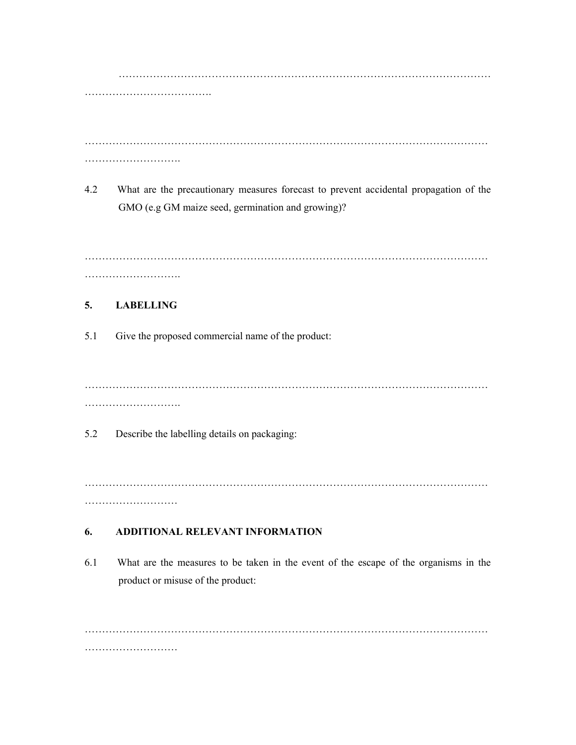……………………………………………………………………………………………… ……………………………….

……………………………………………………………………………………………………… ……………………….

4.2 What are the precautionary measures forecast to prevent accidental propagation of the GMO (e.g GM maize seed, germination and growing)?

……………………………………………………………………………………………………… ……………………….

# **5. LABELLING**

5.1 Give the proposed commercial name of the product:

……………………………………………………………………………………………………… ……………………….

5.2 Describe the labelling details on packaging:

……………………………………………………………………………………………………… ………………………

# **6. ADDITIONAL RELEVANT INFORMATION**

6.1 What are the measures to be taken in the event of the escape of the organisms in the product or misuse of the product:

……………………………………………………………………………………………………… ……………………………………